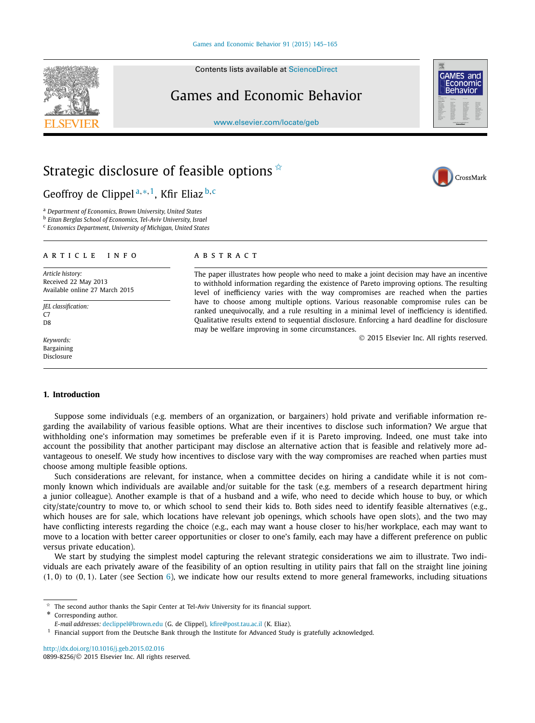Contents lists available at [ScienceDirect](http://www.ScienceDirect.com/)

# Games and Economic Behavior

[www.elsevier.com/locate/geb](http://www.elsevier.com/locate/geb)

# Strategic disclosure of feasible options  $\dot{\mathbf{x}}$

Geoffroy de Clippel <sup>a</sup>*,*∗*,*1, Kfir Eliaz <sup>b</sup>*,*<sup>c</sup>

<sup>a</sup> *Department of Economics, Brown University, United States*

<sup>b</sup> *Eitan Berglas School of Economics, Tel-Aviv University, Israel*

<sup>c</sup> *Economics Department, University of Michigan, United States*

# A R T I C L E I N F O A B S T R A C T

*Article history:* Received 22 May 2013 Available online 27 March 2015

*JEL classification:* C7 D<sub>8</sub>

*Keywords:* Bargaining Disclosure

The paper illustrates how people who need to make a joint decision may have an incentive to withhold information regarding the existence of Pareto improving options. The resulting level of inefficiency varies with the way compromises are reached when the parties have to choose among multiple options. Various reasonable compromise rules can be ranked unequivocally, and a rule resulting in a minimal level of inefficiency is identified. Qualitative results extend to sequential disclosure. Enforcing a hard deadline for disclosure may be welfare improving in some circumstances.

© 2015 Elsevier Inc. All rights reserved.

# **1. Introduction**

Suppose some individuals (e.g. members of an organization, or bargainers) hold private and verifiable information regarding the availability of various feasible options. What are their incentives to disclose such information? We argue that withholding one's information may sometimes be preferable even if it is Pareto improving. Indeed, one must take into account the possibility that another participant may disclose an alternative action that is feasible and relatively more advantageous to oneself. We study how incentives to disclose vary with the way compromises are reached when parties must choose among multiple feasible options.

Such considerations are relevant, for instance, when a committee decides on hiring a candidate while it is not commonly known which individuals are available and/or suitable for the task (e.g. members of a research department hiring a junior colleague). Another example is that of a husband and a wife, who need to decide which house to buy, or which city/state/country to move to, or which school to send their kids to. Both sides need to identify feasible alternatives (e.g., which houses are for sale, which locations have relevant job openings, which schools have open slots), and the two may have conflicting interests regarding the choice (e.g., each may want a house closer to his/her workplace, each may want to move to a location with better career opportunities or closer to one's family, each may have a different preference on public versus private education).

We start by studying the simplest model capturing the relevant strategic considerations we aim to illustrate. Two individuals are each privately aware of the feasibility of an option resulting in utility pairs that fall on the straight line joining *(*1*,* 0*)* to *(*0*,* 1*)*. Later (see Section [6\)](#page-8-0), we indicate how our results extend to more general frameworks, including situations

<http://dx.doi.org/10.1016/j.geb.2015.02.016> 0899-8256/© 2015 Elsevier Inc. All rights reserved.





CrossMark

<sup>✩</sup> The second author thanks the Sapir Center at Tel-Aviv University for its financial support. Corresponding author.

*E-mail addresses:* [declippel@brown.edu](mailto:declippel@brown.edu) (G. de Clippel), [kfire@post.tau.ac.il](mailto:kfire@post.tau.ac.il) (K. Eliaz).

 $1$  Financial support from the Deutsche Bank through the Institute for Advanced Study is gratefully acknowledged.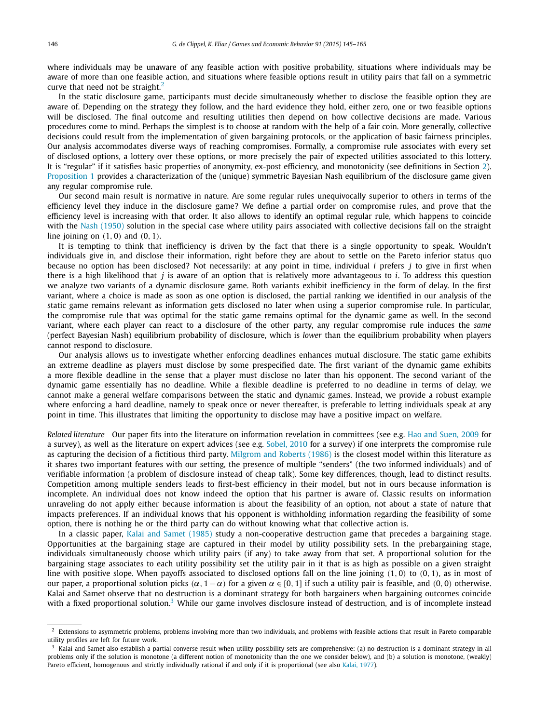where individuals may be unaware of any feasible action with positive probability, situations where individuals may be aware of more than one feasible action, and situations where feasible options result in utility pairs that fall on a symmetric curve that need not be straight. $<sup>2</sup>$ </sup>

In the static disclosure game, participants must decide simultaneously whether to disclose the feasible option they are aware of. Depending on the strategy they follow, and the hard evidence they hold, either zero, one or two feasible options will be disclosed. The final outcome and resulting utilities then depend on how collective decisions are made. Various procedures come to mind. Perhaps the simplest is to choose at random with the help of a fair coin. More generally, collective decisions could result from the implementation of given bargaining protocols, or the application of basic fairness principles. Our analysis accommodates diverse ways of reaching compromises. Formally, a compromise rule associates with every set of disclosed options, a lottery over these options, or more precisely the pair of expected utilities associated to this lottery. It is "regular" if it satisfies basic properties of anonymity, ex-post efficiency, and monotonicity (see definitions in Section [2\)](#page-2-0). [Proposition 1](#page-4-0) provides a characterization of the (unique) symmetric Bayesian Nash equilibrium of the disclosure game given any regular compromise rule.

Our second main result is normative in nature. Are some regular rules unequivocally superior to others in terms of the efficiency level they induce in the disclosure game? We define a partial order on compromise rules, and prove that the efficiency level is increasing with that order. It also allows to identify an optimal regular rule, which happens to coincide with the [Nash \(1950\)](#page-20-0) solution in the special case where utility pairs associated with collective decisions fall on the straight line joining on *(*1*,* 0*)* and *(*0*,* 1*)*.

It is tempting to think that inefficiency is driven by the fact that there is a single opportunity to speak. Wouldn't individuals give in, and disclose their information, right before they are about to settle on the Pareto inferior status quo because no option has been disclosed? Not necessarily: at any point in time, individual *i* prefers *j* to give in first when there is a high likelihood that *j* is aware of an option that is relatively more advantageous to *i*. To address this question we analyze two variants of a dynamic disclosure game. Both variants exhibit inefficiency in the form of delay. In the first variant, where a choice is made as soon as one option is disclosed, the partial ranking we identified in our analysis of the static game remains relevant as information gets disclosed no later when using a superior compromise rule. In particular, the compromise rule that was optimal for the static game remains optimal for the dynamic game as well. In the second variant, where each player can react to a disclosure of the other party, any regular compromise rule induces the *same* (perfect Bayesian Nash) equilibrium probability of disclosure, which is *lower* than the equilibrium probability when players cannot respond to disclosure.

Our analysis allows us to investigate whether enforcing deadlines enhances mutual disclosure. The static game exhibits an extreme deadline as players must disclose by some prespecified date. The first variant of the dynamic game exhibits a more flexible deadline in the sense that a player must disclose no later than his opponent. The second variant of the dynamic game essentially has no deadline. While a flexible deadline is preferred to no deadline in terms of delay, we cannot make a general welfare comparisons between the static and dynamic games. Instead, we provide a robust example where enforcing a hard deadline, namely to speak once or never thereafter, is preferable to letting individuals speak at any point in time. This illustrates that limiting the opportunity to disclose may have a positive impact on welfare.

*Related literature* Our paper fits into the literature on information revelation in committees (see e.g. Hao and [Suen,](#page-20-0) 2009 for a survey), as well as the literature on expert advices (see e.g. [Sobel,](#page-20-0) 2010 for a survey) if one interprets the compromise rule as capturing the decision of a fictitious third party. Milgrom and [Roberts \(1986\)](#page-20-0) is the closest model within this literature as it shares two important features with our setting, the presence of multiple "senders" (the two informed individuals) and of verifiable information (a problem of disclosure instead of cheap talk). Some key differences, though, lead to distinct results. Competition among multiple senders leads to first-best efficiency in their model, but not in ours because information is incomplete. An individual does not know indeed the option that his partner is aware of. Classic results on information unraveling do not apply either because information is about the feasibility of an option, not about a state of nature that impacts preferences. If an individual knows that his opponent is withholding information regarding the feasibility of some option, there is nothing he or the third party can do without knowing what that collective action is.

In a classic paper, Kalai and [Samet \(1985\)](#page-20-0) study a non-cooperative destruction game that precedes a bargaining stage. Opportunities at the bargaining stage are captured in their model by utility possibility sets. In the prebargaining stage, individuals simultaneously choose which utility pairs (if any) to take away from that set. A proportional solution for the bargaining stage associates to each utility possibility set the utility pair in it that is as high as possible on a given straight line with positive slope. When payoffs associated to disclosed options fall on the line joining *(*1*,* 0*)* to *(*0*,* 1*)*, as in most of our paper, a proportional solution picks  $(α, 1−α)$  for a given  $α ∈ [0, 1]$  if such a utility pair is feasible, and  $(0, 0)$  otherwise. Kalai and Samet observe that no destruction is a dominant strategy for both bargainers when bargaining outcomes coincide with a fixed proportional solution.<sup>3</sup> While our game involves disclosure instead of destruction, and is of incomplete instead

<sup>&</sup>lt;sup>2</sup> Extensions to asymmetric problems, problems involving more than two individuals, and problems with feasible actions that result in Pareto comparable utility profiles are left for future work.

 $3$  Kalai and Samet also establish a partial converse result when utility possibility sets are comprehensive: (a) no destruction is a dominant strategy in all problems only if the solution is monotone (a different notion of monotonicity than the one we consider below), and (b) a solution is monotone, (weakly) Pareto efficient, homogenous and strictly individually rational if and only if it is proportional (see also [Kalai,](#page-20-0) 1977).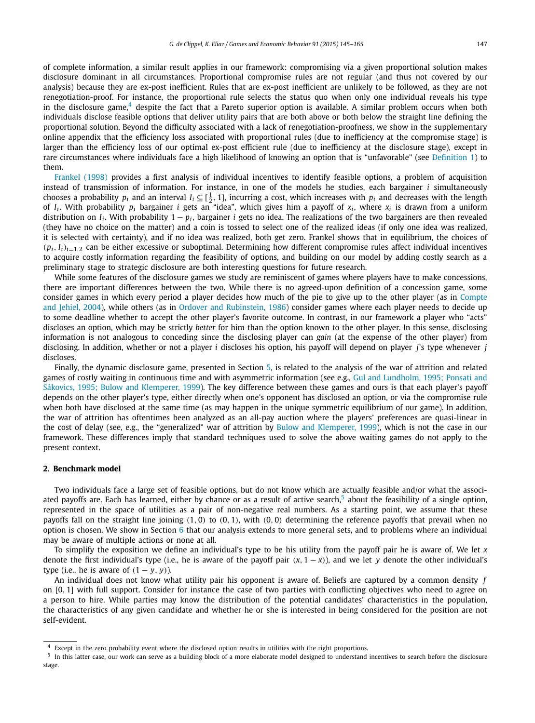<span id="page-2-0"></span>of complete information, a similar result applies in our framework: compromising via a given proportional solution makes disclosure dominant in all circumstances. Proportional compromise rules are not regular (and thus not covered by our analysis) because they are ex-post inefficient. Rules that are ex-post inefficient are unlikely to be followed, as they are not renegotiation-proof. For instance, the proportional rule selects the status quo when only one individual reveals his type in the disclosure game, $4$  despite the fact that a Pareto superior option is available. A similar problem occurs when both individuals disclose feasible options that deliver utility pairs that are both above or both below the straight line defining the proportional solution. Beyond the difficulty associated with a lack of renegotiation-proofness, we show in the supplementary online appendix that the efficiency loss associated with proportional rules (due to inefficiency at the compromise stage) is larger than the efficiency loss of our optimal ex-post efficient rule (due to inefficiency at the disclosure stage), except in rare circumstances where individuals face a high likelihood of knowing an option that is "unfavorable" (see [Definition 1\)](#page-5-0) to them.

[Frankel \(1998\)](#page-20-0) provides a first analysis of individual incentives to identify feasible options, a problem of acquisition instead of transmission of information. For instance, in one of the models he studies, each bargainer *i* simultaneously chooses a probability  $p_i$  and an interval  $I_i \subseteq [\frac{1}{2}, 1]$ , incurring a cost, which increases with  $p_i$  and decreases with the length of  $I_i$ . With probability  $p_i$  bargainer *i* gets an "idea", which gives him a payoff of  $x_i$ , where  $x_i$  is drawn from a uniform distribution on *Ii* . With probability 1 − *pi* , bargainer *i* gets no idea. The realizations of the two bargainers are then revealed (they have no choice on the matter) and a coin is tossed to select one of the realized ideas (if only one idea was realized, it is selected with certainty), and if no idea was realized, both get zero. Frankel shows that in equilibrium, the choices of  $(p_i, I_i)_{i=1,2}$  can be either excessive or suboptimal. Determining how different compromise rules affect individual incentives to acquire costly information regarding the feasibility of options, and building on our model by adding costly search as a preliminary stage to strategic disclosure are both interesting questions for future research.

While some features of the disclosure games we study are reminiscent of games where players have to make concessions, there are important differences between the two. While there is no agreed-upon definition of a concession game, some consider games in which every period a player decides how much of the pie to give up to the other player (as in [Compte](#page-20-0) and [Jehiel,](#page-20-0) 2004), while others (as in Ordover and [Rubinstein,](#page-20-0) 1986) consider games where each player needs to decide up to some deadline whether to accept the other player's favorite outcome. In contrast, in our framework a player who "acts" discloses an option, which may be strictly *better* for him than the option known to the other player. In this sense, disclosing information is not analogous to conceding since the disclosing player can *gain* (at the expense of the other player) from disclosing. In addition, whether or not a player *i* discloses his option, his payoff will depend on player *j*'s type whenever *j* discloses.

Finally, the dynamic disclosure game, presented in Section [5,](#page-6-0) is related to the analysis of the war of attrition and related games of costly waiting in continuous time and with asymmetric information (see e.g., Gul and Lundholm, [1995; Ponsati](#page-20-0) and Sákovics, [1995; Bulow](#page-20-0) and Klemperer, 1999). The key difference between these games and ours is that each player's payoff depends on the other player's type, either directly when one's opponent has disclosed an option, or via the compromise rule when both have disclosed at the same time (as may happen in the unique symmetric equilibrium of our game). In addition, the war of attrition has oftentimes been analyzed as an all-pay auction where the players' preferences are quasi-linear in the cost of delay (see, e.g., the "generalized" war of attrition by Bulow and [Klemperer,](#page-20-0) 1999), which is not the case in our framework. These differences imply that standard techniques used to solve the above waiting games do not apply to the present context.

# **2. Benchmark model**

Two individuals face a large set of feasible options, but do not know which are actually feasible and/or what the associated payoffs are. Each has learned, either by chance or as a result of active search, $5$  about the feasibility of a single option, represented in the space of utilities as a pair of non-negative real numbers. As a starting point, we assume that these payoffs fall on the straight line joining *(*1*,* 0*)* to *(*0*,* 1*)*, with *(*0*,* 0*)* determining the reference payoffs that prevail when no option is chosen. We show in Section [6](#page-8-0) that our analysis extends to more general sets, and to problems where an individual may be aware of multiple actions or none at all.

To simplify the exposition we define an individual's type to be his utility from the payoff pair he is aware of. We let *x* denote the first individual's type (i.e., he is aware of the payoff pair  $(x, 1 - x)$ ), and we let *y* denote the other individual's type (i.e., he is aware of  $(1 - y, y)$ ).

An individual does not know what utility pair his opponent is aware of. Beliefs are captured by a common density *f* on [0*,* 1] with full support. Consider for instance the case of two parties with conflicting objectives who need to agree on a person to hire. While parties may know the distribution of the potential candidates' characteristics in the population, the characteristics of any given candidate and whether he or she is interested in being considered for the position are not self-evident.

<sup>4</sup> Except in the zero probability event where the disclosed option results in utilities with the right proportions.

<sup>&</sup>lt;sup>5</sup> In this latter case, our work can serve as a building block of a more elaborate model designed to understand incentives to search before the disclosure stage.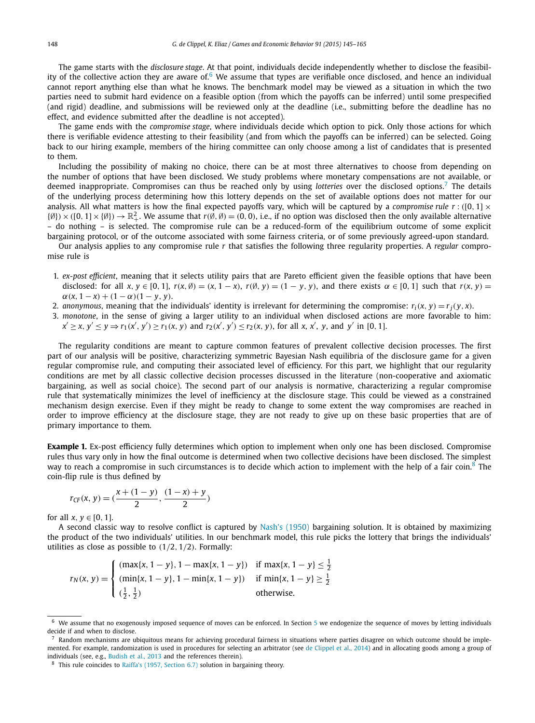<span id="page-3-0"></span>The game starts with the *disclosure stage*. At that point, individuals decide independently whether to disclose the feasibility of the collective action they are aware of. $6$  We assume that types are verifiable once disclosed, and hence an individual cannot report anything else than what he knows. The benchmark model may be viewed as a situation in which the two parties need to submit hard evidence on a feasible option (from which the payoffs can be inferred) until some prespecified (and rigid) deadline, and submissions will be reviewed only at the deadline (i.e., submitting before the deadline has no effect, and evidence submitted after the deadline is not accepted).

The game ends with the *compromise stage*, where individuals decide which option to pick. Only those actions for which there is verifiable evidence attesting to their feasibility (and from which the payoffs can be inferred) can be selected. Going back to our hiring example, members of the hiring committee can only choose among a list of candidates that is presented to them.

Including the possibility of making no choice, there can be at most three alternatives to choose from depending on the number of options that have been disclosed. We study problems where monetary compensations are not available, or deemed inappropriate. Compromises can thus be reached only by using *lotteries* over the disclosed options.<sup>7</sup> The details of the underlying process determining how this lottery depends on the set of available options does not matter for our analysis. All what matters is how the final expected payoffs vary, which will be captured by a *compromise rule r* :  $([0, 1] \times$  $\{\emptyset\}\times([0,1]\times\{\emptyset\})\to\mathbb{R}^2_+$ . We assume that  $r(\emptyset,\emptyset)=(0,0)$ , i.e., if no option was disclosed then the only available alternative – do nothing – is selected. The compromise rule can be a reduced-form of the equilibrium outcome of some explicit bargaining protocol, or of the outcome associated with some fairness criteria, or of some previously agreed-upon standard.

Our analysis applies to any compromise rule *r* that satisfies the following three regularity properties. A *regular* compromise rule is

- 1. *ex-post efficient*, meaning that it selects utility pairs that are Pareto efficient given the feasible options that have been disclosed: for all x,  $y \in [0, 1]$ ,  $r(x, \emptyset) = (x, 1 - x)$ ,  $r(\emptyset, y) = (1 - y, y)$ , and there exists  $\alpha \in [0, 1]$  such that  $r(x, y) =$  $\alpha(x, 1-x) + (1-\alpha)(1-y, y)$ .
- 2. anonymous, meaning that the individuals' identity is irrelevant for determining the compromise:  $r_i(x, y) = r_i(y, x)$ .
- 3. *monotone*, in the sense of giving a larger utility to an individual when disclosed actions are more favorable to him:  $x' \ge x, y' \le y \Rightarrow r_1(x', y') \ge r_1(x, y)$  and  $r_2(x', y') \le r_2(x, y)$ , for all x, x', y, and y' in [0, 1].

The regularity conditions are meant to capture common features of prevalent collective decision processes. The first part of our analysis will be positive, characterizing symmetric Bayesian Nash equilibria of the disclosure game for a given regular compromise rule, and computing their associated level of efficiency. For this part, we highlight that our regularity conditions are met by all classic collective decision processes discussed in the literature (non-cooperative and axiomatic bargaining, as well as social choice). The second part of our analysis is normative, characterizing a regular compromise rule that systematically minimizes the level of inefficiency at the disclosure stage. This could be viewed as a constrained mechanism design exercise. Even if they might be ready to change to some extent the way compromises are reached in order to improve efficiency at the disclosure stage, they are not ready to give up on these basic properties that are of primary importance to them.

**Example 1.** Ex-post efficiency fully determines which option to implement when only one has been disclosed. Compromise rules thus vary only in how the final outcome is determined when two collective decisions have been disclosed. The simplest way to reach a compromise in such circumstances is to decide which action to implement with the help of a fair coin.<sup>8</sup> The coin-flip rule is thus defined by

$$
r_{CF}(x, y) = (\frac{x + (1 - y)}{2}, \frac{(1 - x) + y}{2})
$$

for all  $x, y \in [0, 1]$ .

A second classic way to resolve conflict is captured by Nash's [\(1950\)](#page-20-0) bargaining solution. It is obtained by maximizing the product of the two individuals' utilities. In our benchmark model, this rule picks the lottery that brings the individuals' utilities as close as possible to *(*1*/*2*,* 1*/*2*)*. Formally:

$$
r_N(x, y) = \begin{cases} (\max\{x, 1 - y\}, 1 - \max\{x, 1 - y\}) & \text{if } \max\{x, 1 - y\} \le \frac{1}{2} \\ (\min\{x, 1 - y\}, 1 - \min\{x, 1 - y\}) & \text{if } \min\{x, 1 - y\} \ge \frac{1}{2} \\ (\frac{1}{2}, \frac{1}{2}) & \text{otherwise.} \end{cases}
$$

 $6\,$  We assume that no exogenously imposed sequence of moves can be enforced. In Section [5](#page-6-0) we endogenize the sequence of moves by letting individuals decide if and when to disclose.

 $^7$  Random mechanisms are ubiquitous means for achieving procedural fairness in situations where parties disagree on which outcome should be implemented. For example, randomization is used in procedures for selecting an arbitrator (see [de Clippel](#page-20-0) et al., 2014) and in allocating goods among a group of individuals (see, e.g., [Budish](#page-20-0) et al., 2013 and the references therein).

<sup>8</sup> This rule coincides to Raiffa's (1957, [Section](#page-20-0) 6.7) solution in bargaining theory.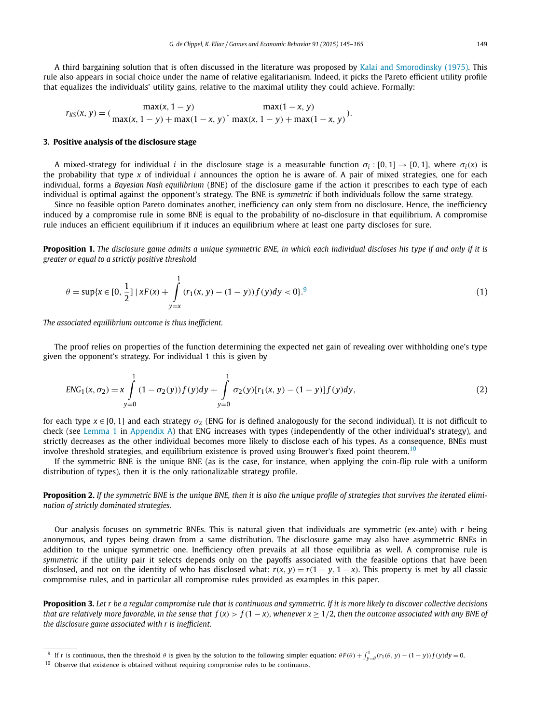<span id="page-4-0"></span>
$$
r_{KS}(x, y) = (\frac{\max(x, 1 - y)}{\max(x, 1 - y) + \max(1 - x, y)}, \frac{\max(1 - x, y)}{\max(x, 1 - y) + \max(1 - x, y)}).
$$

# **3. Positive analysis of the disclosure stage**

A mixed-strategy for individual *i* in the disclosure stage is a measurable function  $\sigma_i$ : [0, 1]  $\rightarrow$  [0, 1], where  $\sigma_i(x)$  is the probability that type *x* of individual *i* announces the option he is aware of. A pair of mixed strategies, one for each individual, forms a *Bayesian Nash equilibrium* (BNE) of the disclosure game if the action it prescribes to each type of each individual is optimal against the opponent's strategy. The BNE is *symmetric* if both individuals follow the same strategy.

Since no feasible option Pareto dominates another, inefficiency can only stem from no disclosure. Hence, the inefficiency induced by a compromise rule in some BNE is equal to the probability of no-disclosure in that equilibrium. A compromise rule induces an efficient equilibrium if it induces an equilibrium where at least one party discloses for sure.

Proposition 1. The disclosure game admits a unique symmetric BNE, in which each individual discloses his type if and only if it is *greater or equal to a strictly positive threshold*

$$
\theta = \sup\{x \in [0, \frac{1}{2}] \mid xF(x) + \int_{y=x}^{1} (r_1(x, y) - (1 - y)) f(y) dy < 0\}^{9}
$$
\n(1)

*The associated equilibrium outcome is thus inefficient.*

The proof relies on properties of the function determining the expected net gain of revealing over withholding one's type given the opponent's strategy. For individual 1 this is given by

$$
ENG_1(x, \sigma_2) = x \int_{y=0}^{1} (1 - \sigma_2(y)) f(y) dy + \int_{y=0}^{1} \sigma_2(y) [r_1(x, y) - (1 - y)] f(y) dy,
$$
\n(2)

for each type  $x \in [0, 1]$  and each strategy  $\sigma_2$  (ENG for is defined analogously for the second individual). It is not difficult to check (see [Lemma 1](#page-10-0) in [Appendix A\)](#page-10-0) that ENG increases with types (independently of the other individual's strategy), and strictly decreases as the other individual becomes more likely to disclose each of his types. As a consequence, BNEs must involve threshold strategies, and equilibrium existence is proved using Brouwer's fixed point theorem.<sup>10</sup>

If the symmetric BNE is the unique BNE (as is the case, for instance, when applying the coin-flip rule with a uniform distribution of types), then it is the only rationalizable strategy profile.

**Proposition 2.** If the symmetric BNE is the unique BNE, then it is also the unique profile of strategies that survives the iterated elimi*nation of strictly dominated strategies.*

Our analysis focuses on symmetric BNEs. This is natural given that individuals are symmetric (ex-ante) with *r* being anonymous, and types being drawn from a same distribution. The disclosure game may also have asymmetric BNEs in addition to the unique symmetric one. Inefficiency often prevails at all those equilibria as well. A compromise rule is *symmetric* if the utility pair it selects depends only on the payoffs associated with the feasible options that have been disclosed, and not on the identity of who has disclosed what:  $r(x, y) = r(1 - y, 1 - x)$ . This property is met by all classic compromise rules, and in particular all compromise rules provided as examples in this paper.

**Proposition 3.** Let r be a regular compromise rule that is continuous and symmetric. If it is more likely to discover collective decisions that are relatively more favorable, in the sense that  $f(x) > f(1-x)$ , whenever  $x > 1/2$ , then the outcome associated with any BNE of *the disclosure game associated with r is inefficient.*

<sup>&</sup>lt;sup>9</sup> If r is continuous, then the threshold  $\theta$  is given by the solution to the following simpler equation:  $\theta F(\theta) + \int_{y=\theta}^{1} (r_1(\theta, y) - (1-y)) f(y) dy = 0$ .

<sup>&</sup>lt;sup>10</sup> Observe that existence is obtained without requiring compromise rules to be continuous.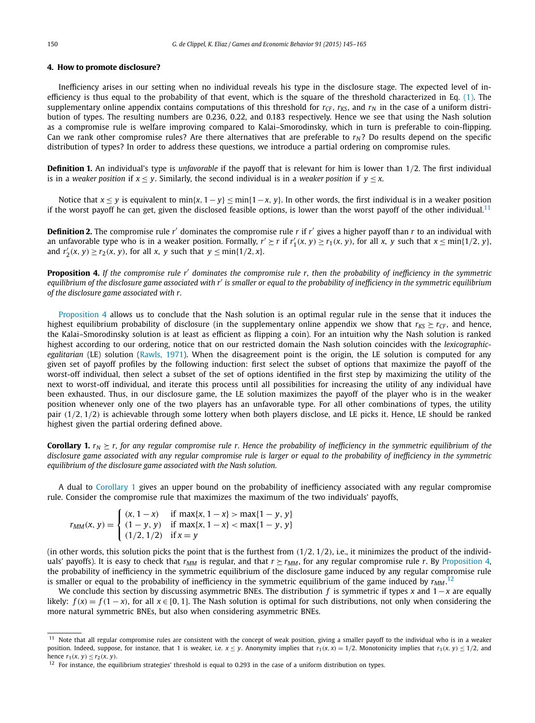# <span id="page-5-0"></span>**4. How to promote disclosure?**

Inefficiency arises in our setting when no individual reveals his type in the disclosure stage. The expected level of inefficiency is thus equal to the probability of that event, which is the square of the threshold characterized in Eq. [\(1\).](#page-4-0) The supplementary online appendix contains computations of this threshold for  $r_{CF}$ ,  $r_{KS}$ , and  $r_N$  in the case of a uniform distribution of types. The resulting numbers are 0.236, 0.22, and 0.183 respectively. Hence we see that using the Nash solution as a compromise rule is welfare improving compared to Kalai–Smorodinsky, which in turn is preferable to coin-flipping. Can we rank other compromise rules? Are there alternatives that are preferable to  $r<sub>N</sub>$ ? Do results depend on the specific distribution of types? In order to address these questions, we introduce a partial ordering on compromise rules.

**Definition 1.** An individual's type is *unfavorable* if the payoff that is relevant for him is lower than 1*/*2. The first individual is in a *weaker position* if  $x < y$ . Similarly, the second individual is in a *weaker position* if  $y < x$ .

Notice that *x* ≤ *y* is equivalent to min{*x*, 1 − *y*} ≤ min{1 − *x*, *y*}. In other words, the first individual is in a weaker position if the worst payoff he can get, given the disclosed feasible options, is lower than the worst payoff of the other individual.<sup>11</sup>

**Definition 2.** The compromise rule r' dominates the compromise rule r if r' gives a higher payoff than r to an individual with an unfavorable type who is in a weaker position. Formally,  $r' \ge r$  if  $r'_1(x, y) \ge r_1(x, y)$ , for all x, y such that  $x \le \min\{1/2, y\}$ , and  $r'_2(x, y) \ge r_2(x, y)$ , for all *x*, *y* such that  $y \le \min\{1/2, x\}$ .

**Proposition 4.** If the compromise rule r' dominates the compromise rule r, then the probability of inefficiency in the symmetric equilibrium of the disclosure game associated with r' is smaller or equal to the probability of inefficiency in the symmetric equilibrium *of the disclosure game associated with r.*

Proposition 4 allows us to conclude that the Nash solution is an optimal regular rule in the sense that it induces the highest equilibrium probability of disclosure (in the supplementary online appendix we show that  $r_{KS} \geq r_{CF}$ , and hence, the Kalai–Smorodinsky solution is at least as efficient as flipping a coin). For an intuition why the Nash solution is ranked highest according to our ordering, notice that on our restricted domain the Nash solution coincides with the *lexicographicegalitarian* (LE) solution [\(Rawls,](#page-20-0) 1971). When the disagreement point is the origin, the LE solution is computed for any given set of payoff profiles by the following induction: first select the subset of options that maximize the payoff of the worst-off individual, then select a subset of the set of options identified in the first step by maximizing the utility of the next to worst-off individual, and iterate this process until all possibilities for increasing the utility of any individual have been exhausted. Thus, in our disclosure game, the LE solution maximizes the payoff of the player who is in the weaker position whenever only one of the two players has an unfavorable type. For all other combinations of types, the utility pair *(*1*/*2*,* 1*/*2*)* is achievable through some lottery when both players disclose, and LE picks it. Hence, LE should be ranked highest given the partial ordering defined above.

**Corollary 1.**  $r_N \ge r$ , for any regular compromise rule r. Hence the probability of inefficiency in the symmetric equilibrium of the disclosure game associated with any regular compromise rule is larger or equal to the probability of inefficiency in the symmetric *equilibrium of the disclosure game associated with the Nash solution.*

A dual to Corollary 1 gives an upper bound on the probability of inefficiency associated with any regular compromise rule. Consider the compromise rule that maximizes the maximum of the two individuals' payoffs,

 $r_{MM}(x, y) =$  $\sqrt{ }$ ⎨  $\mathbf{I}$ *(x,* 1 − *x)* if max{*x,* 1 − *x*} *>* max{1 − *y, y*} *(*1 − *y, y)* if max{*x,* 1 − *x*} *<* max{1 − *y, y*}  $(1/2, 1/2)$  if  $x = y$ 

(in other words, this solution picks the point that is the furthest from *(*1*/*2*,* 1*/*2*)*, i.e., it minimizes the product of the individuals' payoffs). It is easy to check that  $r_{MM}$  is regular, and that  $r \ge r_{MM}$ , for any regular compromise rule *r*. By Proposition 4, the probability of inefficiency in the symmetric equilibrium of the disclosure game induced by any regular compromise rule is smaller or equal to the probability of inefficiency in the symmetric equilibrium of the game induced by  $r_{M\!M}$ .<sup>12</sup>

We conclude this section by discussing asymmetric BNEs. The distribution *f* is symmetric if types *x* and 1−*x* are equally likely:  $f(x) = f(1-x)$ , for all  $x \in [0, 1]$ . The Nash solution is optimal for such distributions, not only when considering the more natural symmetric BNEs, but also when considering asymmetric BNEs.

<sup>&</sup>lt;sup>11</sup> Note that all regular compromise rules are consistent with the concept of weak position, giving a smaller payoff to the individual who is in a weaker position. Indeed, suppose, for instance, that 1 is weaker, i.e.  $x \le y$ . Anonymity implies that  $r_1(x, x) = 1/2$ . Monotonicity implies that  $r_1(x, y) \le 1/2$ , and hence  $r_1(x, y) \le r_2(x, y)$ .

 $12$  For instance, the equilibrium strategies' threshold is equal to 0.293 in the case of a uniform distribution on types.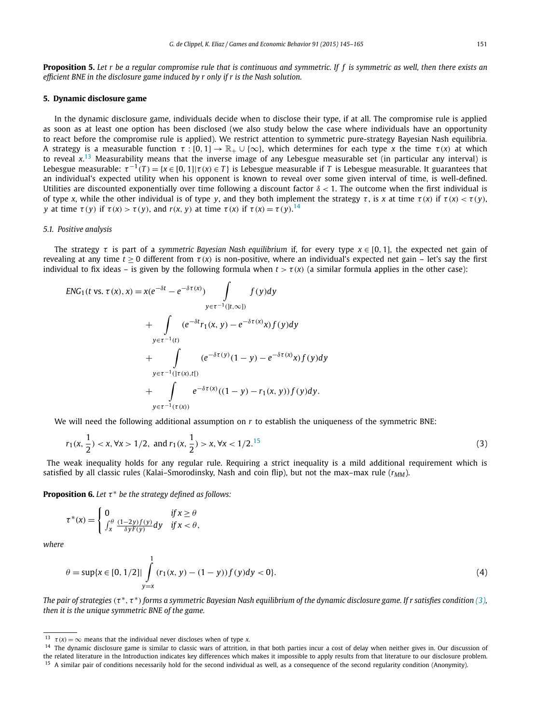<span id="page-6-0"></span>**Proposition 5.** Let  $r$  be a regular compromise rule that is continuous and symmetric. If  $f$  is symmetric as well, then there exists an *efficient BNE in the disclosure game induced by r only if r is the Nash solution.*

# **5. Dynamic disclosure game**

In the dynamic disclosure game, individuals decide when to disclose their type, if at all. The compromise rule is applied as soon as at least one option has been disclosed (we also study below the case where individuals have an opportunity to react before the compromise rule is applied). We restrict attention to symmetric pure-strategy Bayesian Nash equilibria. A strategy is a measurable function  $\tau$ :  $[0, 1] \rightarrow \mathbb{R}_+ \cup \{\infty\}$ , which determines for each type *x* the time  $\tau(x)$  at which to reveal *x*. <sup>13</sup> Measurability means that the inverse image of any Lebesgue measurable set (in particular any interval) is Lebesgue measurable:  $\tau^{-1}(T) = \{x \in [0, 1] | \tau(x) \in T\}$  is Lebesgue measurable if *T* is Lebesgue measurable. It guarantees that an individual's expected utility when his opponent is known to reveal over some given interval of time, is well-defined. Utilities are discounted exponentially over time following a discount factor *δ <* 1. The outcome when the first individual is of type x, while the other individual is of type y, and they both implement the strategy  $\tau$ , is x at time  $\tau(x)$  if  $\tau(x) < \tau(y)$ , y at time  $\tau(y)$  if  $\tau(x) > \tau(y)$ , and  $r(x, y)$  at time  $\tau(x)$  if  $\tau(x) = \tau(y)$ .<sup>14</sup>

# *5.1. Positive analysis*

The strategy  $\tau$  is part of a *symmetric Bayesian Nash equilibrium* if, for every type  $x \in [0, 1]$ , the expected net gain of revealing at any time *t* ≥ 0 different from *τ (x)* is non-positive, where an individual's expected net gain – let's say the first individual to fix ideas – is given by the following formula when  $t > \tau(x)$  (a similar formula applies in the other case):

*ENG*1*(<sup>t</sup>* vs. *τ (x), <sup>x</sup>)* = *<sup>x</sup>(e*−*δ<sup>t</sup>* − *<sup>e</sup>*−*δτ (x) ) y*∈*τ* <sup>−</sup>1*(*]*t,*∞]*) f (y)dy* + *y*∈*τ* <sup>−</sup>1*(t) (e*−*δ<sup>t</sup> <sup>r</sup>*1*(x, <sup>y</sup>)* − *<sup>e</sup>*−*δτ (x) x)f (y)dy* + *y*∈*τ* <sup>−</sup>1*(*]*τ (x),t*[*) (e*−*δτ (y) (*1 − *y)* − *e*−*δτ (x) x)f (y)dy* + *y*∈*τ* <sup>−</sup><sup>1</sup>*(τ (x)) e*−*δτ (x) ((*1 − *y)* − *r*1*(x, y))f (y)dy.*

We will need the following additional assumption on *r* to establish the uniqueness of the symmetric BNE:

$$
r_1(x, \frac{1}{2}) < x, \forall x > 1/2, \text{ and } r_1(x, \frac{1}{2}) > x, \forall x < 1/2
$$
.<sup>15</sup> (3)

The weak inequality holds for any regular rule. Requiring a strict inequality is a mild additional requirement which is satisfied by all classic rules (Kalai–Smorodinsky, Nash and coin flip), but not the max–max rule ( $r_{MM}$ ).

**Proposition 6.** Let  $\tau^*$  be the strategy defined as follows:

$$
\tau^*(x) = \begin{cases} 0 & \text{if } x \ge \theta \\ \int_x^{\theta} \frac{(1-2y)f(y)}{\delta y F(y)} dy & \text{if } x < \theta, \end{cases}
$$

*where*

$$
\theta = \sup\{x \in [0, 1/2] | \int_{y=x}^{1} (r_1(x, y) - (1 - y)) f(y) dy < 0\}.
$$
\n(4)

The pair of strategies  $(\tau^*, \tau^*)$  forms a symmetric Bayesian Nash equilibrium of the dynamic disclosure game. If r satisfies condition (3), *then it is the unique symmetric BNE of the game.*

<sup>&</sup>lt;sup>13</sup>  $\tau(x) = \infty$  means that the individual never discloses when of type *x*.

<sup>&</sup>lt;sup>14</sup> The dynamic disclosure game is similar to classic wars of attrition, in that both parties incur a cost of delay when neither gives in. Our discussion of the related literature in the Introduction indicates key differences which makes it impossible to apply results from that literature to our disclosure problem.

<sup>15</sup> A similar pair of conditions necessarily hold for the second individual as well, as a consequence of the second regularity condition (Anonymity).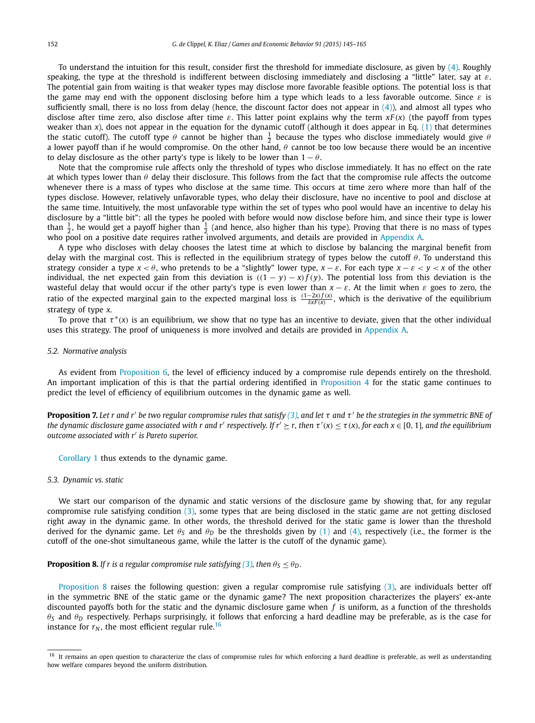<span id="page-7-0"></span>To understand the intuition for this result, consider first the threshold for immediate disclosure, as given by  $(4)$ . Roughly speaking, the type at the threshold is indifferent between disclosing immediately and disclosing a "little" later, say at *ε*. The potential gain from waiting is that weaker types may disclose more favorable feasible options. The potential loss is that the game may end with the opponent disclosing before him a type which leads to a less favorable outcome. Since *ε* is sufficiently small, there is no loss from delay (hence, the discount factor does not appear in  $(4)$ ), and almost all types who disclose after time zero, also disclose after time  $\varepsilon$ . This latter point explains why the term  $xF(x)$  (the payoff from types weaker than *x*), does not appear in the equation for the dynamic cutoff (although it does appear in Eq. [\(1\)](#page-4-0) that determines the static cutoff). The cutoff type  $\theta$  cannot be higher than  $\frac{1}{2}$  because the types who disclose immediately would give  $\theta$ a lower payoff than if he would compromise. On the other hand, *θ* cannot be too low because there would be an incentive to delay disclosure as the other party's type is likely to be lower than  $1 - \theta$ .

Note that the compromise rule affects only the threshold of types who disclose immediately. It has no effect on the rate at which types lower than *θ* delay their disclosure. This follows from the fact that the compromise rule affects the outcome whenever there is a mass of types who disclose at the same time. This occurs at time zero where more than half of the types disclose. However, relatively unfavorable types, who delay their disclosure, have no incentive to pool and disclose at the same time. Intuitively, the most unfavorable type within the set of types who pool would have an incentive to delay his disclosure by a "little bit": all the types he pooled with before would now disclose before him, and since their type is lower than  $\frac{1}{2}$ , he would get a payoff higher than  $\frac{1}{2}$  (and hence, also higher than his type). Proving that there is no mass of types who pool on a positive date requires rather involved arguments, and details are provided in [Appendix A.](#page-10-0)

A type who discloses with delay chooses the latest time at which to disclose by balancing the marginal benefit from delay with the marginal cost. This is reflected in the equilibrium strategy of types below the cutoff  $\theta$ . To understand this strategy consider a type  $x < \theta$ , who pretends to be a "slightly" lower type,  $x - \varepsilon$ . For each type  $x - \varepsilon < y < x$  of the other individual, the net expected gain from this deviation is  $((1 - y) - x)f(y)$ . The potential loss from this deviation is the wasteful delay that would occur if the other party's type is even lower than  $x - \varepsilon$ . At the limit when  $\varepsilon$  goes to zero, the ratio of the expected marginal gain to the expected marginal loss is  $\frac{(1-2x)f(x)}{\delta xF(x)}$ , which is the derivative of the equilibrium strategy of type *x*.

To prove that  $\tau^*(x)$  is an equilibrium, we show that no type has an incentive to deviate, given that the other individual uses this strategy. The proof of uniqueness is more involved and details are provided in [Appendix A.](#page-10-0)

### *5.2. Normative analysis*

As evident from [Proposition 6,](#page-6-0) the level of efficiency induced by a compromise rule depends entirely on the threshold. An important implication of this is that the partial ordering identified in [Proposition 4](#page-5-0) for the static game continues to predict the level of efficiency of equilibrium outcomes in the dynamic game as well.

**Proposition 7.** Let r and r' be two regular compromise rules that satisfy [\(3\),](#page-6-0) and let  $\tau$  and  $\tau'$  be the strategies in the symmetric BNE of the dynamic disclosure game associated with  $r$  and  $r'$  respectively. If  $r'\succeq r$ , then  $\tau'(x)\leq\tau(x)$ , for each  $x\in[0,1]$ , and the equilibrium *outcome associated with r is Pareto superior.*

[Corollary 1](#page-5-0) thus extends to the dynamic game.

# *5.3. Dynamic vs. static*

We start our comparison of the dynamic and static versions of the disclosure game by showing that, for any regular compromise rule satisfying condition [\(3\),](#page-6-0) some types that are being disclosed in the static game are not getting disclosed right away in the dynamic game. In other words, the threshold derived for the static game is lower than the threshold derived for the dynamic game. Let  $\theta_s$  and  $\theta_p$  be the thresholds given by [\(1\)](#page-4-0) and [\(4\),](#page-6-0) respectively (i.e., the former is the cutoff of the one-shot simultaneous game, while the latter is the cutoff of the dynamic game).

# **Proposition 8.** *If r is a regular compromise rule satisfying* [\(3\),](#page-6-0) *then*  $\theta_s \leq \theta_D$ .

Proposition 8 raises the following question: given a regular compromise rule satisfying [\(3\),](#page-6-0) are individuals better off in the symmetric BNE of the static game or the dynamic game? The next proposition characterizes the players' ex-ante discounted payoffs both for the static and the dynamic disclosure game when *f* is uniform, as a function of the thresholds *θ<sup>S</sup>* and *θ<sup>D</sup>* respectively. Perhaps surprisingly, it follows that enforcing a hard deadline may be preferable, as is the case for instance for  $r_N$ , the most efficient regular rule.<sup>16</sup>

 $16$  It remains an open question to characterize the class of compromise rules for which enforcing a hard deadline is preferable, as well as understanding how welfare compares beyond the uniform distribution.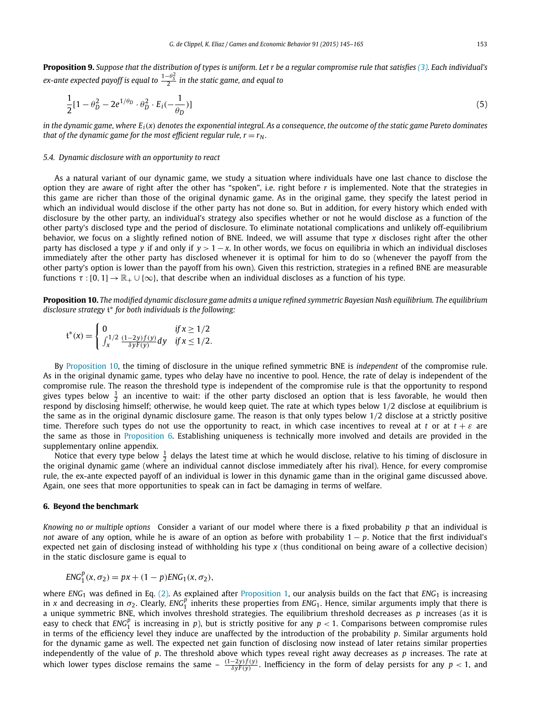<span id="page-8-0"></span>Proposition 9. Suppose that the distribution of types is uniform. Let r be a regular compromise rule that satisfies [\(3\).](#page-6-0) Each individual's  $e$ x-ante $e$  *expected payoff* is *equal to*  $\frac{1-\theta_S^2}{2}$  *in the static game, and equal to* 

$$
\frac{1}{2}[1 - \theta_D^2 - 2e^{1/\theta_D} \cdot \theta_D^2 \cdot E_i(-\frac{1}{\theta_D})] \tag{5}
$$

in the dynamic game, where  $E_i(x)$  denotes the exponential integral. As a consequence, the outcome of the static game Pareto dominates *that of the dynamic game for the most efficient regular rule,*  $r = r_N$ *.* 

# *5.4. Dynamic disclosure with an opportunity to react*

As a natural variant of our dynamic game, we study a situation where individuals have one last chance to disclose the option they are aware of right after the other has "spoken", i.e. right before *r* is implemented. Note that the strategies in this game are richer than those of the original dynamic game. As in the original game, they specify the latest period in which an individual would disclose if the other party has not done so. But in addition, for every history which ended with disclosure by the other party, an individual's strategy also specifies whether or not he would disclose as a function of the other party's disclosed type and the period of disclosure. To eliminate notational complications and unlikely off-equilibrium behavior, we focus on a slightly refined notion of BNE. Indeed, we will assume that type *x* discloses right after the other party has disclosed a type *y* if and only if *y >* 1 − *x*. In other words, we focus on equilibria in which an individual discloses immediately after the other party has disclosed whenever it is optimal for him to do so (whenever the payoff from the other party's option is lower than the payoff from his own). Given this restriction, strategies in a refined BNE are measurable functions  $\tau$  : [0, 1]  $\rightarrow \mathbb{R}_+ \cup \{\infty\}$ , that describe when an individual discloses as a function of his type.

Proposition 10. The modified dynamic disclosure game admits a unique refined symmetric Bayesian Nash equilibrium. The equilibrium *disclosure strategy* t <sup>∗</sup> *for both individuals is the following:*

$$
\mathfrak{t}^*(x) = \begin{cases} 0 & \text{if } x \ge 1/2 \\ \int_x^{1/2} \frac{(1-2y)f(y)}{\delta y F(y)} dy & \text{if } x \le 1/2. \end{cases}
$$

By Proposition 10, the timing of disclosure in the unique refined symmetric BNE is *independent* of the compromise rule. As in the original dynamic game, types who delay have no incentive to pool. Hence, the rate of delay is independent of the compromise rule. The reason the threshold type is independent of the compromise rule is that the opportunity to respond gives types below  $\frac{1}{2}$  an incentive to wait: if the other party disclosed an option that is less favorable, he would then respond by disclosing himself; otherwise, he would keep quiet. The rate at which types below 1*/*2 disclose at equilibrium is the same as in the original dynamic disclosure game. The reason is that only types below 1*/*2 disclose at a strictly positive time. Therefore such types do not use the opportunity to react, in which case incentives to reveal at *t* or at  $t + \varepsilon$  are the same as those in [Proposition 6.](#page-6-0) Establishing uniqueness is technically more involved and details are provided in the supplementary online appendix.

Notice that every type below  $\frac{1}{2}$  delays the latest time at which he would disclose, relative to his timing of disclosure in the original dynamic game (where an individual cannot disclose immediately after his rival). Hence, for every compromise rule, the ex-ante expected payoff of an individual is lower in this dynamic game than in the original game discussed above. Again, one sees that more opportunities to speak can in fact be damaging in terms of welfare.

# **6. Beyond the benchmark**

*Knowing no or multiple options* Consider a variant of our model where there is a fixed probability *p* that an individual is *not* aware of any option, while he is aware of an option as before with probability 1 − *p*. Notice that the first individual's expected net gain of disclosing instead of withholding his type *x* (thus conditional on being aware of a collective decision) in the static disclosure game is equal to

$$
ENG_1^p(x, \sigma_2) = px + (1 - p) ENG_1(x, \sigma_2),
$$

where *ENG*<sup>1</sup> was defined in Eq. [\(2\).](#page-4-0) As explained after [Proposition 1,](#page-4-0) our analysis builds on the fact that *ENG*<sup>1</sup> is increasing in *x* and decreasing in  $\sigma_2$ . Clearly, *ENG*<sup>p</sup> inherits these properties from *ENG*<sub>1</sub>. Hence, similar arguments imply that there is a unique symmetric BNE, which involves threshold strategies. The equilibrium threshold decreases as *p* increases (as it is easy to check that  $ENG_1^p$  is increasing in p), but is strictly positive for any  $p < 1$ . Comparisons between compromise rules in terms of the efficiency level they induce are unaffected by the introduction of the probability *p*. Similar arguments hold for the dynamic game as well. The expected net gain function of disclosing now instead of later retains similar properties independently of the value of *p*. The threshold above which types reveal right away decreases as *p* increases. The rate at which lower types disclose remains the same  $-\frac{(1-2y)f(y)}{\delta yF(y)}$ . Inefficiency in the form of delay persists for any  $p < 1$ , and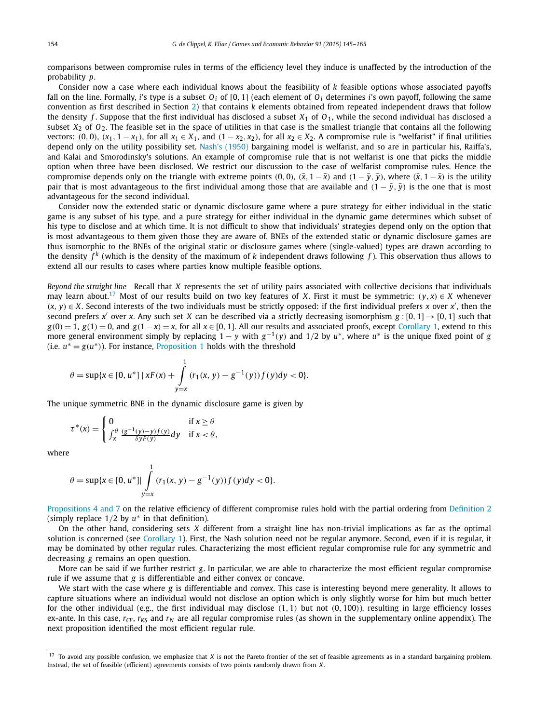comparisons between compromise rules in terms of the efficiency level they induce is unaffected by the introduction of the probability *p*.

Consider now a case where each individual knows about the feasibility of *k* feasible options whose associated payoffs fall on the line. Formally, *i*'s type is a subset  $O_i$  of [0, 1] (each element of  $O_i$  determines *i*'s own payoff, following the same convention as first described in Section [2\)](#page-2-0) that contains *k* elements obtained from repeated independent draws that follow the density *f*. Suppose that the first individual has disclosed a subset  $X_1$  of  $O_1$ , while the second individual has disclosed a subset  $X_2$  of  $O_2$ . The feasible set in the space of utilities in that case is the smallest triangle that contains all the following vectors: (0, 0),  $(x_1, 1-x_1)$ , for all  $x_1 \in X_1$ , and  $(1-x_2, x_2)$ , for all  $x_2 \in X_2$ . A compromise rule is "welfarist" if final utilities depend only on the utility possibility set. Nash's [\(1950\)](#page-20-0) bargaining model is welfarist, and so are in particular his, Raiffa's, and Kalai and Smorodinsky's solutions. An example of compromise rule that is not welfarist is one that picks the middle option when three have been disclosed. We restrict our discussion to the case of welfarist compromise rules. Hence the compromise depends only on the triangle with extreme points (0, 0),  $(\bar{x}, 1 - \bar{x})$  and  $(1 - \bar{y}, \bar{y})$ , where  $(\bar{x}, 1 - \bar{x})$  is the utility pair that is most advantageous to the first individual among those that are available and  $(1 - \bar{y}, \bar{y})$  is the one that is most advantageous for the second individual.

Consider now the extended static or dynamic disclosure game where a pure strategy for either individual in the static game is any subset of his type, and a pure strategy for either individual in the dynamic game determines which subset of his type to disclose and at which time. It is not difficult to show that individuals' strategies depend only on the option that is most advantageous to them given those they are aware of. BNEs of the extended static or dynamic disclosure games are thus isomorphic to the BNEs of the original static or disclosure games where (single-valued) types are drawn according to the density  $f^k$  (which is the density of the maximum of *k* independent draws following  $f$ ). This observation thus allows to extend all our results to cases where parties know multiple feasible options.

*Beyond the straight line* Recall that *X* represents the set of utility pairs associated with collective decisions that individuals may learn about.<sup>17</sup> Most of our results build on two key features of *X*. First it must be symmetric:  $(y, x) \in X$  whenever  $(x, y) \in X$ . Second interests of the two individuals must be strictly opposed: if the first individual prefers *x* over *x*<sup>'</sup>, then the second prefers x' over x. Any such set X can be described via a strictly decreasing isomorphism  $g:[0,1] \rightarrow [0,1]$  such that  $g(0) = 1$ ,  $g(1) = 0$ , and  $g(1-x) = x$ , for all  $x \in [0, 1]$ . All our results and associated proofs, except [Corollary 1,](#page-5-0) extend to this more general environment simply by replacing  $1 - y$  with  $g^{-1}(y)$  and  $1/2$  by  $u^*$ , where  $u^*$  is the unique fixed point of *g* (i.e.  $u^* = g(u^*)$ ). For instance, [Proposition 1](#page-4-0) holds with the threshold

$$
\theta = \sup\{x \in [0, u^*] \mid xF(x) + \int_{y=x}^1 (r_1(x, y) - g^{-1}(y)) f(y) dy < 0\}.
$$

The unique symmetric BNE in the dynamic disclosure game is given by

$$
\tau^*(x) = \begin{cases} 0 & \text{if } x \ge \theta \\ \int_x^{\theta} \frac{(g^{-1}(y) - y)f(y)}{\delta y F(y)} dy & \text{if } x < \theta, \end{cases}
$$

where

$$
\theta = \sup\{x \in [0, u^*] \mid \int\limits_{y=x}^1 (r_1(x, y) - g^{-1}(y)) f(y) dy < 0\}.
$$

[Propositions 4 and](#page-5-0) 7 on the relative efficiency of different compromise rules hold with the partial ordering from [Definition 2](#page-5-0) (simply replace 1*/*2 by *u*<sup>∗</sup> in that definition).

On the other hand, considering sets *X* different from a straight line has non-trivial implications as far as the optimal solution is concerned (see [Corollary 1\)](#page-5-0). First, the Nash solution need not be regular anymore. Second, even if it is regular, it may be dominated by other regular rules. Characterizing the most efficient regular compromise rule for any symmetric and decreasing *g* remains an open question.

More can be said if we further restrict *g*. In particular, we are able to characterize the most efficient regular compromise rule if we assume that *g* is differentiable and either convex or concave.

We start with the case where *g* is differentiable and *convex*. This case is interesting beyond mere generality. It allows to capture situations where an individual would not disclose an option which is only slightly worse for him but much better for the other individual (e.g., the first individual may disclose *(*1*,* 1*)* but not *(*0*,* 100*)*), resulting in large efficiency losses ex-ante. In this case,  $r_{CF}$ ,  $r_{KS}$  and  $r_N$  are all regular compromise rules (as shown in the supplementary online appendix). The next proposition identified the most efficient regular rule.

<sup>&</sup>lt;sup>17</sup> To avoid any possible confusion, we emphasize that *X* is not the Pareto frontier of the set of feasible agreements as in a standard bargaining problem. Instead, the set of feasible (efficient) agreements consists of two points randomly drawn from *X*.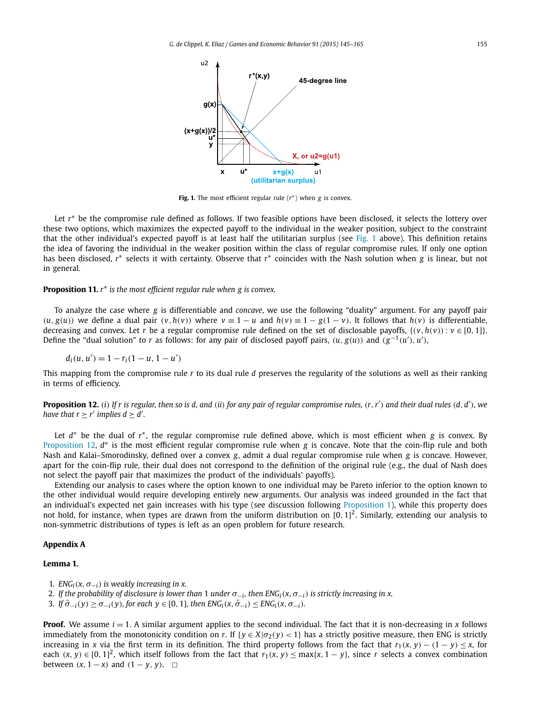<span id="page-10-0"></span>

**Fig. 1.** The most efficient regular rule (*r*∗) when *g* is convex.

Let *r*<sup>∗</sup> be the compromise rule defined as follows. If two feasible options have been disclosed, it selects the lottery over these two options, which maximizes the expected payoff to the individual in the weaker position, subject to the constraint that the other individual's expected payoff is at least half the utilitarian surplus (see Fig. 1 above). This definition retains the idea of favoring the individual in the weaker position within the class of regular compromise rules. If only one option has been disclosed, *r*<sup>∗</sup> selects it with certainty. Observe that *r*<sup>∗</sup> coincides with the Nash solution when *g* is linear, but not in general.

**Proposition 11.** *r*<sup>∗</sup> *is the most efficient regular rule when g is convex.*

To analyze the case where *g* is differentiable and *concave*, we use the following "duality" argument. For any payoff pair  $(u, g(u))$  we define a dual pair  $(v, h(v))$  where  $v \equiv 1 - u$  and  $h(v) \equiv 1 - g(1 - v)$ . It follows that  $h(v)$  is differentiable, decreasing and convex. Let *r* be a regular compromise rule defined on the set of disclosable payoffs,  $\{(v, h(v)) : v \in [0, 1]\}$ . Define the "dual solution" to *r* as follows: for any pair of disclosed payoff pairs,  $(u, g(u))$  and  $(g^{-1}(u'), u')$ ,

$$
d_i(u, u') = 1 - r_i(1 - u, 1 - u')
$$

This mapping from the compromise rule *r* to its dual rule *d* preserves the regularity of the solutions as well as their ranking in terms of efficiency.

Proposition 12. (i) If r is regular, then so is d, and (ii) for any pair of regular compromise rules, (r, r') and their dual rules (d, d'), we *have that*  $r \ge r'$  *implies*  $d \ge d'$ *.* 

Let *d*<sup>∗</sup> be the dual of *r*∗, the regular compromise rule defined above, which is most efficient when *g* is convex. By Proposition 12, *d*<sup>∗</sup> is the most efficient regular compromise rule when *g* is concave. Note that the coin-flip rule and both Nash and Kalai–Smorodinsky, defined over a convex *g*, admit a dual regular compromise rule when *g* is concave. However, apart for the coin-flip rule, their dual does not correspond to the definition of the original rule (e.g., the dual of Nash does not select the payoff pair that maximizes the product of the individuals' payoffs).

Extending our analysis to cases where the option known to one individual may be Pareto inferior to the option known to the other individual would require developing entirely new arguments. Our analysis was indeed grounded in the fact that an individual's expected net gain increases with his type (see discussion following [Proposition 1\)](#page-4-0), while this property does not hold, for instance, when types are drawn from the uniform distribution on [0*,* 1] 2. Similarly, extending our analysis to non-symmetric distributions of types is left as an open problem for future research.

# **Appendix A**

# **Lemma 1.**

- 1. *ENG*<sub>*i*</sub> $(x, \sigma_{-i})$  *is weakly increasing in x.*
- 2. If the probability of disclosure is lower than 1 under  $\sigma_{-i}$ , then  $ENG_i(x, \sigma_{-i})$  is strictly increasing in x.
- 3. If  $\hat{\sigma}_{-i}(y) \geq \sigma_{-i}(y)$ , for each  $y \in [0, 1]$ , then  $ENG_i(x, \hat{\sigma}_{-i}) \leq ENG_i(x, \sigma_{-i})$ .

**Proof.** We assume *i* = 1. A similar argument applies to the second individual. The fact that it is non-decreasing in *x* follows immediately from the monotonicity condition on *r*. If { $y \in X | \sigma_2(y) < 1$ } has a strictly positive measure, then ENG is strictly increasing in *x* via the first term in its definition. The third property follows from the fact that  $r_1(x, y) - (1 - y) \le x$ , for each  $(x, y) \in [0, 1]^2$ , which itself follows from the fact that  $r_1(x, y) \le \max\{x, 1 - y\}$ , since r selects a convex combination between  $(x, 1 - x)$  and  $(1 - y, y)$ . □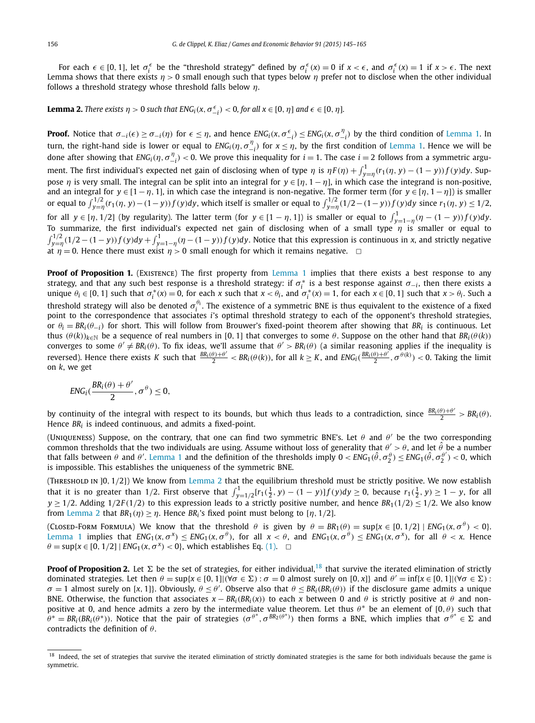For each  $\epsilon \in [0, 1]$ , let  $\sigma_i^{\epsilon}$  be the "threshold strategy" defined by  $\sigma_i^{\epsilon}(x) = 0$  if  $x < \epsilon$ , and  $\sigma_i^{\epsilon}(x) = 1$  if  $x > \epsilon$ . The next Lemma shows that there exists  $\eta > 0$  small enough such that types below  $\eta$  prefer not to disclose when the other individual follows a threshold strategy whose threshold falls below *η*.

**Lemma 2.** There exists  $\eta > 0$  such that  $ENG_i(x, \sigma_{-i}^{\epsilon}) < 0$ , for all  $x \in [0, \eta]$  and  $\epsilon \in [0, \eta]$ .

**Proof.** Notice that  $\sigma_{-i}(\epsilon) \ge \sigma_{-i}(\eta)$  for  $\epsilon \le \eta$ , and hence  $ENG_i(x, \sigma_{-i}^{\epsilon}) \le ENG_i(x, \sigma_{-i}^{\eta})$  by the third condition of [Lemma 1.](#page-10-0) In turn, the right-hand side is lower or equal to  $ENG_i(\eta,\sigma_{-i}^{\eta})$  for  $x\leq\eta$ , by the first condition of [Lemma 1.](#page-10-0) Hence we will be done after showing that  $ENG_i(\eta, \sigma_{-i}^{\eta}) < 0$ . We prove this inequality for  $i = 1$ . The case  $i = 2$  follows from a symmetric argument. The first individual's expected net gain of disclosing when of type  $\eta$  is  $\eta F(\eta) + \int_{y=\eta}^{1} (r_1(\eta, y) - (1-y)) f(y) dy$ . Suppose  $\eta$  is very small. The integral can be split into an integral for  $y \in [\eta, 1 - \eta]$ , in which case the integrand is non-positive, and an integral for  $y \in [1 - \eta, 1]$ , in which case the integrand is non-negative. The former term (for  $y \in [\eta, 1 - \eta]$ ) is smaller or equal to  $\int_{y=\eta}^{1/2} (r_1(\eta, y) - (1-y)) f(y) dy$ , which itself is smaller or equal to  $\int_{y=\eta}^{1/2} (1/2 - (1-y)) f(y) dy$  since  $r_1(\eta, y) \le 1/2$ , for all  $y \in [\eta, 1/2]$  (by regularity). The latter term (for  $y \in [1 - \eta, 1]$ ) is smaller or equal to  $\int_{y=1-\eta}^{1} (\eta - (1-y)) f(y) dy$ . To summarize, the first individual's expected net gain of disclosing when of a small type *η* is smaller or equal to  $\int_{y=\eta}^{1/2} (1/2 - (1-y)) f(y) dy + \int_{y=1-\eta}^{1} (\eta - (1-y)) f(y) dy$ . Notice that this expression is continuous in x, and strictly negative at  $\eta = 0$ . Hence there must exist  $\eta > 0$  small enough for which it remains negative.  $\Box$ 

**Proof of Proposition 1.** (Existence) The first property from [Lemma 1](#page-10-0) implies that there exists a best response to any strategy, and that any such best response is a threshold strategy: if  $\sigma_i^*$  is a best response against  $\sigma_{-i}$ , then there exists a unique  $\theta_i \in [0, 1]$  such that  $\sigma_i^*(x) = 0$ , for each x such that  $x < \theta_i$ , and  $\sigma_i^*(x) = 1$ , for each  $x \in [0, 1]$  such that  $x > \theta_i$ . Such a threshold strategy will also be denoted  $\sigma_i^{\theta_i}$ . The existence of a symmetric BNE is thus equivalent to the existence of a fixed point to the correspondence that associates *i*'s optimal threshold strategy to each of the opponent's threshold strategies, or  $\theta_i = BR_i(\theta_{-i})$  for short. This will follow from Brouwer's fixed-point theorem after showing that  $BR_i$  is continuous. Let thus  $(\theta(k))_{k \in \mathbb{N}}$  be a sequence of real numbers in [0, 1] that converges to some  $\theta$ . Suppose on the other hand that *BR<sub>i</sub>*( $\theta(k)$ ) converges to some  $\theta' \neq BR_i(\theta)$ . To fix ideas, we'll assume that  $\theta' > BR_i(\theta)$  (a similar reasoning applies if the inequality is reversed). Hence there exists K such that  $\frac{BR_i(\theta)+\theta'}{2}$  <  $BR_i(\theta(k))$ , for all  $k \geq K$ , and  $ENG_i(\frac{BR_i(\theta)+\theta'}{2}, \sigma^{\theta(k)})$  < 0. Taking the limit on *k*, we get

$$
ENG_i(\frac{BR_i(\theta)+\theta'}{2},\sigma^{\theta})\leq 0,
$$

by continuity of the integral with respect to its bounds, but which thus leads to a contradiction, since  $\frac{BR_i(\theta)+\theta'}{2} > BR_i(\theta)$ . Hence *BRi* is indeed continuous, and admits a fixed-point.

(UNIQUENESS) Suppose, on the contrary, that one can find two symmetric BNE's. Let  $\theta$  and  $\theta'$  be the two corresponding common thresholds that the two individuals are using. Assume without loss of generality that  $\theta' > \theta$ , and let  $\hat{\theta}$  be a number that falls between  $\theta$  and  $\theta'$ . [Lemma 1](#page-10-0) and the definition of the thresholds imply  $0 < ENG_1(\hat{\theta}, \sigma_2^{\theta}) \le ENG_1(\hat{\theta}, \sigma_2^{\theta'}) < 0$ , which is impossible. This establishes the uniqueness of the symmetric BNE.

(Threshold in ]0*,* 1*/*2]) We know from Lemma 2 that the equilibrium threshold must be strictly positive. We now establish that it is no greater than 1/2. First observe that  $\int_{y=1/2}^{1} [r_1(\frac{1}{2},y)-(1-y)]f(y)dy \ge 0$ , because  $r_1(\frac{1}{2},y) \ge 1-y$ , for all  $y \ge 1/2$ . Adding  $1/2F(1/2)$  to this expression leads to a strictly positive number, and hence  $BR_1(1/2) \le 1/2$ . We also know from Lemma 2 that  $BR_1(\eta) \ge \eta$ . Hence  $BR_i$ 's fixed point must belong to [ $\eta$ , 1/2].

(CLOSED-FORM FORMULA) We know that the threshold *θ* is given by  $θ = BR_1(θ) = sup{x ∈ [0, 1/2] | ENG_1(x, σ<sup>θ</sup>) < 0}.$ [Lemma 1](#page-10-0) implies that  $ENG_1(x, \sigma^x) \leq ENG_1(x, \sigma^{\theta})$ , for all  $x < \theta$ , and  $ENG_1(x, \sigma^{\theta}) \leq ENG_1(x, \sigma^x)$ , for all  $\theta < x$ . Hence  $\theta = \sup\{x \in [0, 1/2] \mid ENG_1(x, \sigma^x) < 0\}$ , which establishes Eq. [\(1\).](#page-4-0)  $\Box$ 

**Proof of Proposition 2.** Let  $\Sigma$  be the set of strategies, for either individual,<sup>18</sup> that survive the iterated elimination of strictly dominated strategies. Let then  $\theta = \sup\{x \in [0, 1] | (\forall \sigma \in \Sigma) : \sigma = 0 \text{ almost surely on } [0, x] \}$  and  $\theta' = \inf\{x \in [0, 1] | (\forall \sigma \in \Sigma) : \sigma = 0 \text{ almost surely on } [0, x] \}$  $\sigma = 1$  almost surely on [*x*, 1]}. Obviously,  $\theta \le \theta'$ . Observe also that  $\theta \le BR_i(BR_i(\theta))$  if the disclosure game admits a unique BNE. Otherwise, the function that associates  $x - BR_i(BR_i(x))$  to each x between 0 and  $\theta$  is strictly positive at  $\theta$  and nonpositive at 0, and hence admits a zero by the intermediate value theorem. Let thus  $\theta^*$  be an element of [0,  $\theta$ ) such that *θ*<sup>\*</sup> = *BR<sub>i</sub>*(*BR<sub>i</sub>*( $\theta$ \*)). Notice that the pair of strategies ( $\sigma^{\theta^*}, \sigma^{BR_2(\theta^*)}$ ) then forms a BNE, which implies that  $\sigma^{\theta^*} \in \Sigma$  and contradicts the definition of *θ* .

 $18$  Indeed, the set of strategies that survive the iterated elimination of strictly dominated strategies is the same for both individuals because the game is symmetric.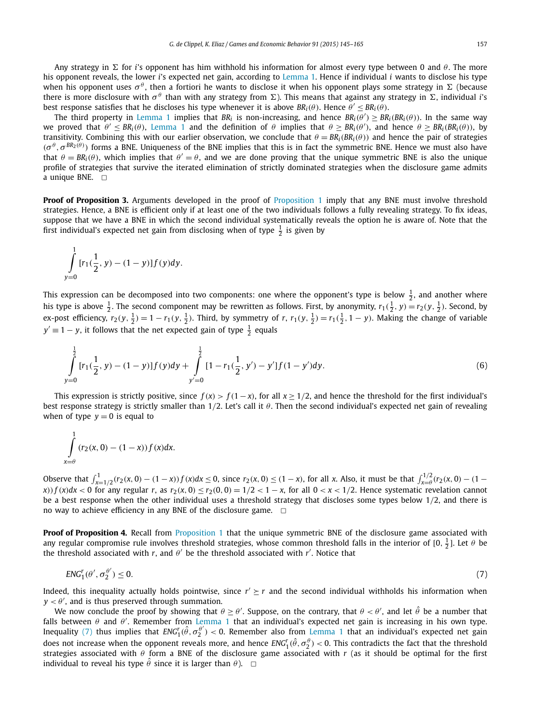<span id="page-12-0"></span>Any strategy in  for *i*'s opponent has him withhold his information for almost every type between 0 and *θ* . The more his opponent reveals, the lower *i*'s expected net gain, according to [Lemma 1.](#page-10-0) Hence if individual *i* wants to disclose his type when his opponent uses *σθ* , then a fortiori he wants to disclose it when his opponent plays some strategy in  (because there is more disclosure with *σθ* than with any strategy from ). This means that against any strategy in , individual *i*'s best response satisfies that he discloses his type whenever it is above  $BR_i(\theta)$ . Hence  $\theta' < BR_i(\theta)$ .

The third property in [Lemma 1](#page-10-0) implies that  $BR_i$  is non-increasing, and hence  $BR_i(\theta') \geq BR_i(BR_i(\theta))$ . In the same way  $\forall$  *θ* proved that  $\theta' \leq BR_i(\theta)$ , [Lemma 1](#page-10-0) and the definition of  $\theta$  implies that  $\theta \geq BR_i(\theta')$ , and hence  $\theta \geq BR_i(BR_i(\theta))$ , by transitivity. Combining this with our earlier observation, we conclude that  $θ = BR_i(BR_i(θ))$  and hence the pair of strategies *(σ<sup>θ</sup>, σ<sup>BR<sub>2</sub>(θ)*)</sup> forms a BNE. Uniqueness of the BNE implies that this is in fact the symmetric BNE. Hence we must also have that  $\theta = BR_i(\theta)$ , which implies that  $\theta' = \theta$ , and we are done proving that the unique symmetric BNE is also the unique profile of strategies that survive the iterated elimination of strictly dominated strategies when the disclosure game admits a unique BNE.  $\Box$ 

**Proof of Proposition 3.** Arguments developed in the proof of [Proposition 1](#page-4-0) imply that any BNE must involve threshold strategies. Hence, a BNE is efficient only if at least one of the two individuals follows a fully revealing strategy. To fix ideas, suppose that we have a BNE in which the second individual systematically reveals the option he is aware of. Note that the first individual's expected net gain from disclosing when of type  $\frac{1}{2}$  is given by

$$
\int\limits_{y=0}^1 [r_1(\frac{1}{2},y)-(1-y)]f(y)dy.
$$

This expression can be decomposed into two components: one where the opponent's type is below  $\frac{1}{2}$ , and another where his type is above  $\frac{1}{2}$ . The second component may be rewritten as follows. First, by anonymity,  $r_1(\frac{1}{2}, y) = r_2(y, \frac{1}{2})$ . Second, by ex-post efficiency,  $r_2(y, \frac{1}{2}) = 1 - r_1(y, \frac{1}{2})$ . Third, by symmetry of r,  $r_1(y, \frac{1}{2}) = r_1(\frac{1}{2}, 1 - y)$ . Making the change of variable  $y' \equiv 1 - y$ , it follows that the net expected gain of type  $\frac{1}{2}$  equals

$$
\int_{y=0}^{\frac{1}{2}} [r_1(\frac{1}{2}, y) - (1-y)] f(y) dy + \int_{y'=0}^{\frac{1}{2}} [1 - r_1(\frac{1}{2}, y') - y'] f(1-y') dy.
$$
 (6)

This expression is strictly positive, since  $f(x) > f(1-x)$ , for all  $x \ge 1/2$ , and hence the threshold for the first individual's best response strategy is strictly smaller than 1*/*2. Let's call it *θ* . Then the second individual's expected net gain of revealing when of type  $y = 0$  is equal to

$$
\int\limits_{x=\theta}^{1}(r_2(x,0)-(1-x))f(x)dx.
$$

Observe that  $\int_{x=1/2}^{1} (r_2(x,0) - (1-x)) f(x) dx \le 0$ , since  $r_2(x,0) \le (1-x)$ , for all x. Also, it must be that  $\int_{x=\theta}^{1/2} (r_2(x,0) - (1-x)) f(x) dx$ x))  $f(x)dx < 0$  for any regular r, as  $r_2(x, 0) \le r_2(0, 0) = 1/2 < 1 - x$ , for all  $0 < x < 1/2$ . Hence systematic revelation cannot be a best response when the other individual uses a threshold strategy that discloses some types below 1*/*2, and there is no way to achieve efficiency in any BNE of the disclosure game.  $\Box$ 

**Proof of Proposition 4.** Recall from [Proposition 1](#page-4-0) that the unique symmetric BNE of the disclosure game associated with any regular compromise rule involves threshold strategies, whose common threshold falls in the interior of [0,  $\frac{1}{2}$ ]. Let  $\theta$  be the threshold associated with  $r$ , and  $\theta'$  be the threshold associated with  $r'$ . Notice that

$$
ENC1r(\theta', \sigma_2^{\theta'}) \le 0.
$$
 (7)

Indeed, this inequality actually holds pointwise, since  $r' \geq r$  and the second individual withholds his information when  $y < \theta'$ , and is thus preserved through summation.

We now conclude the proof by showing that  $\theta \ge \theta'$ . Suppose, on the contrary, that  $\theta < \theta'$ , and let  $\hat{\theta}$  be a number that falls between *θ* and *θ* . Remember from [Lemma 1](#page-10-0) that an individual's expected net gain is increasing in his own type. Inequality (7) thus implies that  $ENG_1^r(\hat{\theta}, \sigma_2^{\theta'}) < 0$ . Remember also from [Lemma 1](#page-10-0) that an individual's expected net gain does not increase when the opponent reveals more, and hence  $ENG^r_1(\hat\theta,\sigma_2^\theta)<$  0. This contradicts the fact that the threshold strategies associated with *θ* form a BNE of the disclosure game associated with *r* (as it should be optimal for the first individual to reveal his type  $\hat{\theta}$  since it is larger than  $\theta$ ).  $\Box$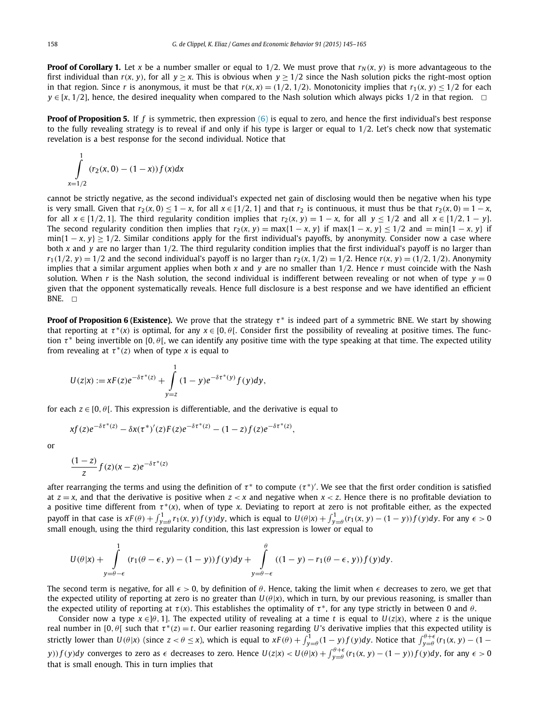**Proof of Corollary 1.** Let *x* be a number smaller or equal to 1/2. We must prove that  $r_N(x, y)$  is more advantageous to the first individual than  $r(x, y)$ , for all  $y \ge x$ . This is obvious when  $y \ge 1/2$  since the Nash solution picks the right-most option in that region. Since r is anonymous, it must be that  $r(x, x) = (1/2, 1/2)$ . Monotonicity implies that  $r_1(x, y) \le 1/2$  for each *y* ∈ [*x*, 1/2], hence, the desired inequality when compared to the Nash solution which always picks 1/2 in that region.  $\Box$ 

**Proof of Proposition 5.** If *f* is symmetric, then expression [\(6\)](#page-12-0) is equal to zero, and hence the first individual's best response to the fully revealing strategy is to reveal if and only if his type is larger or equal to 1*/*2. Let's check now that systematic revelation is a best response for the second individual. Notice that

$$
\int_{x=1/2}^{1} (r_2(x, 0) - (1-x)) f(x) dx
$$

cannot be strictly negative, as the second individual's expected net gain of disclosing would then be negative when his type is very small. Given that  $r_2(x, 0) \le 1 - x$ , for all  $x \in [1/2, 1]$  and that  $r_2$  is continuous, it must thus be that  $r_2(x, 0) = 1 - x$ , for all  $x \in [1/2, 1]$ . The third regularity condition implies that  $r_2(x, y) = 1 - x$ , for all  $y \le 1/2$  and all  $x \in [1/2, 1 - y]$ . The second regularity condition then implies that  $r_2(x, y) = \max\{1 - x, y\}$  if  $\max\{1 - x, y\} \le 1/2$  and  $\min\{1 - x, y\}$  if min{1 − *x, y*} ≥ 1*/*2. Similar conditions apply for the first individual's payoffs, by anonymity. Consider now a case where both *x* and *y* are no larger than 1*/*2. The third regularity condition implies that the first individual's payoff is no larger than  $r_1(1/2, y) = 1/2$  and the second individual's payoff is no larger than  $r_2(x, 1/2) = 1/2$ . Hence  $r(x, y) = (1/2, 1/2)$ . Anonymity implies that a similar argument applies when both *x* and *y* are no smaller than 1*/*2. Hence *r* must coincide with the Nash solution. When *r* is the Nash solution, the second individual is indifferent between revealing or not when of type  $y = 0$ given that the opponent systematically reveals. Hence full disclosure is a best response and we have identified an efficient BNE.  $\Box$ 

**Proof of Proposition 6 (Existence).** We prove that the strategy  $\tau^*$  is indeed part of a symmetric BNE. We start by showing that reporting at  $\tau^*(x)$  is optimal, for any  $x \in [0, \theta]$ . Consider first the possibility of revealing at positive times. The function *τ* <sup>∗</sup> being invertible on [0*, θ*[, we can identify any positive time with the type speaking at that time. The expected utility from revealing at  $\tau^*(z)$  when of type *x* is equal to

$$
U(z|x) := xF(z)e^{-\delta \tau^*(z)} + \int_{y=z}^1 (1-y)e^{-\delta \tau^*(y)}f(y)dy,
$$

for each  $z \in [0, \theta]$ . This expression is differentiable, and the derivative is equal to

$$
xf(z)e^{-\delta\tau^*(z)} - \delta x(\tau^*)'(z)F(z)e^{-\delta\tau^*(z)} - (1-z)f(z)e^{-\delta\tau^*(z)},
$$

or

$$
\frac{(1-z)}{z}f(z)(x-z)e^{-\delta\tau^*(z)}
$$

after rearranging the terms and using the definition of  $\tau^*$  to compute  $(\tau^*)'$ . We see that the first order condition is satisfied at  $z = x$ , and that the derivative is positive when  $z < x$  and negative when  $x < z$ . Hence there is no profitable deviation to a positive time different from *τ* <sup>∗</sup>*(x)*, when of type *x*. Deviating to report at zero is not profitable either, as the expected payoff in that case is  $xF(\theta) + \int_{y=\theta}^{1} r_1(x, y) f(y) dy$ , which is equal to  $U(\theta|x) + \int_{y=\theta}^{1} (r_1(x, y) - (1-y)) f(y) dy$ . For any  $\epsilon > 0$ small enough, using the third regularity condition, this last expression is lower or equal to

$$
U(\theta|x) + \int_{y=\theta-\epsilon}^{1} (r_1(\theta-\epsilon,y) - (1-y)) f(y) dy + \int_{y=\theta-\epsilon}^{\theta} ((1-y) - r_1(\theta-\epsilon,y)) f(y) dy.
$$

The second term is negative, for all  $\epsilon > 0$ , by definition of  $\theta$ . Hence, taking the limit when  $\epsilon$  decreases to zero, we get that the expected utility of reporting at zero is no greater than  $U(\theta|x)$ , which in turn, by our previous reasoning, is smaller than the expected utility of reporting at *τ*(*x*). This establishes the optimality of  $τ^*$ , for any type strictly in between 0 and  $θ$ .

Consider now a type  $x \in ]\theta, 1]$ . The expected utility of revealing at a time *t* is equal to  $U(z|x)$ , where *z* is the unique real number in [0,  $\theta$ [ such that  $\tau^*(z) = t$ . Our earlier reasoning regarding *U*'s derivative implies that this expected utility is strictly lower than  $U(\theta|x)$  (since  $z < \theta \le x$ ), which is equal to  $xF(\theta) + \int_{y=\theta}^{1}(1-y)f(y)dy$ . Notice that  $\int_{y=\theta}^{\theta+\epsilon}(r_1(x, y) - (1-y)f(y)dy)$ y)) $f(y)$ dy converges to zero as  $\epsilon$  decreases to zero. Hence  $U(z|x) < U(\theta|x) + \int_{y=\theta}^{\theta+\epsilon} (r_1(x,y)-(1-y)) f(y) dy,$  for any  $\epsilon > 0$ that is small enough. This in turn implies that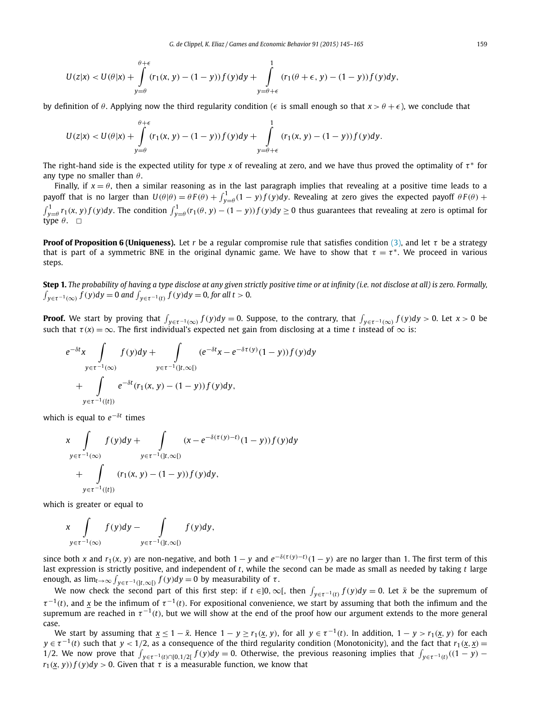$$
U(z|x) < U(\theta|x) + \int\limits_{y=\theta}^{\theta+\epsilon} (r_1(x,y) - (1-y))f(y)dy + \int\limits_{y=\theta+\epsilon}^1 (r_1(\theta+\epsilon,y) - (1-y))f(y)dy,
$$

by definition of  $\theta$ . Applying now the third regularity condition ( $\epsilon$  is small enough so that  $x > \theta + \epsilon$ ), we conclude that

$$
U(z|x) < U(\theta|x) + \int\limits_{y=\theta}^{\theta+\epsilon} (r_1(x,y)-(1-y))f(y)dy + \int\limits_{y=\theta+\epsilon}^1 (r_1(x,y)-(1-y))f(y)dy.
$$

The right-hand side is the expected utility for type *x* of revealing at zero, and we have thus proved the optimality of *τ* <sup>∗</sup> for any type no smaller than *θ* .

Finally, if  $x = \theta$ , then a similar reasoning as in the last paragraph implies that revealing at a positive time leads to a payoff that is no larger than  $U(\theta|\theta) = \theta F(\theta) + \int_{y=\theta}^{1}(1-y)f(y)dy$ . Revealing at zero gives the expected payoff  $\theta F(\theta)$  +  $\int_{y=\theta}^{1} r_1(x, y) f(y) dy$ . The condition  $\int_{y=\theta}^{1} (r_1(\theta, y) - (1-y)) f(y) dy \ge 0$  thus guarantees that revealing at zero is optimal for type  $\theta$ .  $\Box$ 

**Proof of Proposition 6 (Uniqueness).** Let *r* be a regular compromise rule that satisfies condition [\(3\),](#page-6-0) and let  $\tau$  be a strategy that is part of a symmetric BNE in the original dynamic game. We have to show that  $\tau = \tau^*$ . We proceed in various steps.

Step 1. The probability of having a type disclose at any given strictly positive time or at infinity (i.e. not disclose at all) is zero. Formally,  $\int_{y \in \tau^{-1}(\infty)} f(y) dy = 0$  and  $\int_{y \in \tau^{-1}(t)} f(y) dy = 0$ , for all  $t > 0$ .

**Proof.** We start by proving that  $\int_{y\in\tau^{-1}(\infty)}f(y)dy=0.$  Suppose, to the contrary, that  $\int_{y\in\tau^{-1}(\infty)}f(y)dy>0.$  Let  $x>0$  be such that  $\tau(x) = \infty$ . The first individual's expected net gain from disclosing at a time *t* instead of  $\infty$  is:

$$
e^{-\delta t}x \int\limits_{y \in \tau^{-1}(\infty)} f(y)dy + \int\limits_{y \in \tau^{-1}([t,\infty[)} (e^{-\delta t}x - e^{-\delta \tau(y)}(1-y))f(y)dy
$$
  
+ 
$$
\int\limits_{y \in \tau^{-1}([t])} e^{-\delta t}(r_1(x,y) - (1-y))f(y)dy,
$$

which is equal to *e*−*δ<sup>t</sup>* times

$$
x \int_{y \in \tau^{-1}(\infty)} f(y) dy + \int_{y \in \tau^{-1}(]t, \infty[)} (x - e^{-\delta(\tau(y) - t)} (1 - y)) f(y) dy
$$
  
+ 
$$
\int_{y \in \tau^{-1}(\{t\})} (r_1(x, y) - (1 - y)) f(y) dy,
$$

which is greater or equal to

$$
x \int\limits_{y \in \tau^{-1}(\infty)} f(y) dy - \int\limits_{y \in \tau^{-1}(]t, \infty[)} f(y) dy,
$$

since both x and  $r_1(x, y)$  are non-negative, and both 1 — y and  $e^{-\delta(\tau(y)-t)}(1-y)$  are no larger than 1. The first term of this last expression is strictly positive, and independent of *t*, while the second can be made as small as needed by taking *t* large enough, as  $\lim_{t\to\infty}\int_{y\in\tau^{-1}({]t},\infty[)}f(y)dy=0$  by measurability of  $\tau.$ 

We now check the second part of this first step: if  $t \in ]0, \infty[$ , then  $\int_{y \in \tau^{-1}(t)} f(y) dy = 0$ . Let  $\bar{x}$  be the supremum of  $\tau^{-1}(t)$ , and <u>x</u> be the infimum of  $\tau^{-1}(t)$ . For expositional convenience, we start by assuming that both the infimum and the supremum are reached in  $\tau^{-1}(t)$ , but we will show at the end of the proof how our argument extends to the more general case.

We start by assuming that  $x \le 1 - \bar{x}$ . Hence  $1 - y \ge r_1(\underline{x}, y)$ , for all  $y \in \tau^{-1}(t)$ . In addition,  $1 - y > r_1(\underline{x}, y)$  for each  $y \in \tau^{-1}(t)$  such that  $y < 1/2$ , as a consequence of the third regularity condition (Monotonicity), and the fact that  $r_1(x, x)$  = 1/2. We now prove that  $\int_{y \in \tau^{-1}(t) \cap [0,1/2[} f(y) dy = 0$ . Otherwise, the previous reasoning implies that  $\int_{y \in \tau^{-1}(t)} ((1-y)$  $r_1(x, y)$ *f*  $(y)dy > 0$ . Given that  $\tau$  is a measurable function, we know that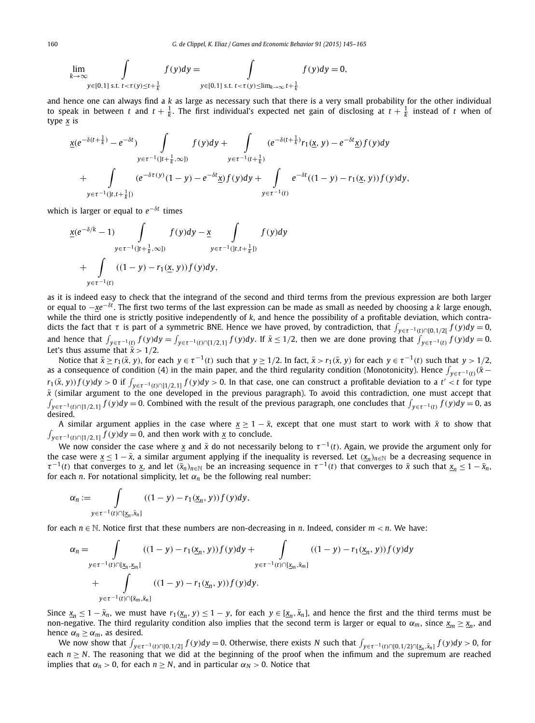$$
\lim_{k\to\infty}\int\limits_{y\in[0,1] \text{ s.t. } t<\tau(y)\leq t+\frac{1}{k}}f(y)dy=\int\limits_{y\in[0,1] \text{ s.t. } t<\tau(y)\leq \lim_{k\to\infty} t+\frac{1}{k}}f(y)dy=0,
$$

and hence one can always find a *k* as large as necessary such that there is a very small probability for the other individual to speak in between *t* and  $t + \frac{1}{k}$ . The first individual's expected net gain of disclosing at  $t + \frac{1}{k}$  instead of *t* when of type *x* is

$$
\underline{x}(e^{-\delta(t+\frac{1}{k})}-e^{-\delta t})\int\limits_{y\in\tau^{-1}(]t+\frac{1}{k},\infty]}f(y)dy+\int\limits_{y\in\tau^{-1}(t+\frac{1}{k})}(e^{-\delta(t+\frac{1}{k})}r_{1}(\underline{x},y)-e^{-\delta t}\underline{x})f(y)dy+\int\limits_{y\in\tau^{-1}(]t,t+\frac{1}{k}[)}(e^{-\delta\tau(y)}(1-y)-e^{-\delta t}\underline{x})f(y)dy+\int\limits_{y\in\tau^{-1}(t)}e^{-\delta t}((1-y)-r_{1}(\underline{x},y))f(y)dy,
$$

which is larger or equal to *e*−*δ<sup>t</sup>* times

$$
\underline{x}(e^{-\delta/k} - 1) \int y \in \tau^{-1}([t + \frac{1}{k}, \infty])} f(y)dy - \underline{x} \int y \in \tau^{-1}([t, t + \frac{1}{k}])} f(y)dy
$$
  
+ 
$$
\int_{y \in \tau^{-1}(t)} ((1 - y) - r_1(\underline{x}, y)) f(y)dy,
$$

as it is indeed easy to check that the integrand of the second and third terms from the previous expression are both larger or equal to −*xe*−*δ<sup>t</sup>* . The first two terms of the last expression can be made as small as needed by choosing a *k* large enough, while the third one is strictly positive independently of *k*, and hence the possibility of a profitable deviation, which contradicts the fact that  $\tau$  is part of a symmetric BNE. Hence we have proved, by contradiction, that  $\int_{y\in\tau^{-1}(t)\cap[0,1/2[}f(y)dy=0,$ and hence that  $\int_{y \in \tau^{-1}(t)} f(y) dy = \int_{y \in \tau^{-1}(t) \cap [1/2,1]} f(y) dy$ . If  $\bar{x} \le 1/2$ , then we are done proving that  $\int_{y \in \tau^{-1}(t)} f(y) dy = 0$ . Let's thus assume that  $\bar{x} > 1/2$ .

Notice that  $\bar{x}\geq r_1(\bar{x},y)$ , for each  $y\in\tau^{-1}(t)$  such that  $y\geq 1/2$ . In fact,  $\bar{x}>r_1(\bar{x},y)$  for each  $y\in\tau^{-1}(t)$  such that  $y>1/2$ , as a consequence of condition (4) in the main paper, and the third regularity condition (Monotonicity). Hence  $\int_{y\in\tau^{-1}(t)}(\bar x$  $r_1(\bar{x},y))f(y)dy > 0$  if  $\int_{y \in \tau^{-1}(t)\cap]1/2,1]}f(y)dy > 0.$  In that case, one can construct a profitable deviation to a  $t' < t$  for type  $\bar{x}$  (similar argument to the one developed in the previous paragraph). To avoid this contradiction, one must accept that  $\int_{y \in \tau^{-1}(t) \cap ]1/2,1]} f(y) dy = 0$ . Combined with the result of the previous paragraph, one concludes that  $\int_{y \in \tau^{-1}(t)} f(y) dy = 0$ , as desired.

A similar argument applies in the case where  $x \ge 1 - \bar{x}$ , except that one must start to work with  $\bar{x}$  to show that  $\int_{y \in \tau^{-1}(t) \cap ]1/2,1]} f(y) dy = 0$ , and then work with <u>x</u> to conclude.

We now consider the case where  $\chi$  and  $\bar{x}$  do not necessarily belong to  $\tau^{-1}(t)$ . Again, we provide the argument only for the case were  $x \le 1 - \bar{x}$ , a similar argument applying if the inequality is reversed. Let  $(x_n)_{n \in \mathbb{N}}$  be a decreasing sequence in  $\tau^{-1}(t)$  that converges to x, and let  $(\bar{x}_n)_{n\in\mathbb{N}}$  be an increasing sequence in  $\tau^{-1}(t)$  that converges to  $\bar{x}$  such that  $x_n \leq 1 - \bar{x}_n$ , for each *n*. For notational simplicity, let  $\alpha_n$  be the following real number:

$$
\alpha_n := \int\limits_{y \in \tau^{-1}(t) \cap [\underline{x}_n, \bar{x}_n]} ((1-y) - r_1(\underline{x}_n, y)) f(y) dy,
$$

for each  $n \in \mathbb{N}$ . Notice first that these numbers are non-decreasing in *n*. Indeed, consider  $m < n$ . We have:

$$
\alpha_n = \int_{y \in \tau^{-1}(t) \cap [\underline{x}_n, \underline{x}_m]} ((1 - y) - r_1(\underline{x}_n, y)) f(y) dy + \int_{y \in \tau^{-1}(t) \cap [\underline{x}_m, \overline{x}_m]} ((1 - y) - r_1(\underline{x}_n, y)) f(y) dy
$$
  
+ 
$$
\int_{y \in \tau^{-1}(t) \cap [\overline{x}_m, \overline{x}_n]} ((1 - y) - r_1(\underline{x}_n, y)) f(y) dy.
$$

Since  $\underline{x}_n \leq 1 - \overline{x}_n$ , we must have  $r_1(\underline{x}_n, y) \leq 1 - y$ , for each  $y \in [\underline{x}_n, \overline{x}_n]$ , and hence the first and the third terms must be non-negative. The third regularity condition also implies that the second term is larger or equal to  $\alpha_m$ , since  $x_m \ge x_n$ , and hence  $\alpha_n \geq \alpha_m$ , as desired.

We now show that  $\int_{y\in\tau^{-1}(t)\cap[0,1/2]}f(y)dy=0.$  Otherwise, there exists N such that  $\int_{y\in\tau^{-1}(t)\cap[0,1/2]\cap[\underline{X}_n,\bar{X}_n]}f(y)dy>0$ , for each  $n \ge N$ . The reasoning that we did at the beginning of the proof when the infimum and the supremum are reached implies that *α*<sup>*n*</sup> > 0, for each *n* ≥ *N*, and in particular *α*<sup>*N*</sup> > 0. Notice that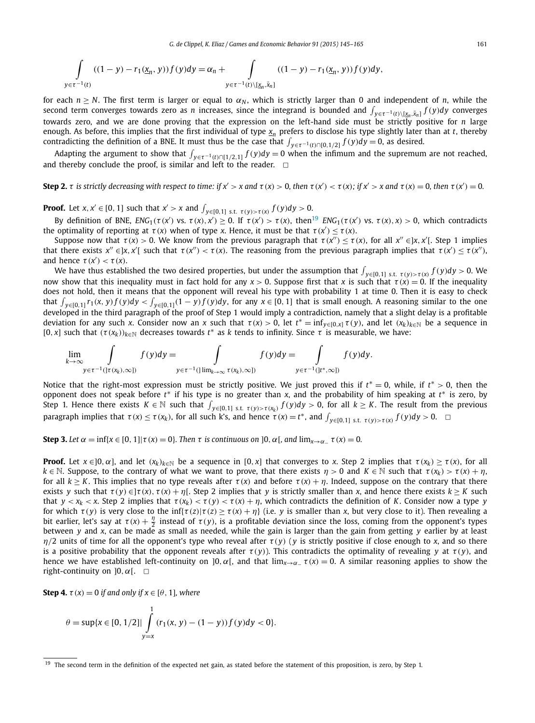$$
\int_{y \in \tau^{-1}(t)} ((1 - y) - r_1(\underline{x}_n, y)) f(y) dy = \alpha_n + \int_{y \in \tau^{-1}(t) \setminus [\underline{x}_n, \overline{x}_n]} ((1 - y) - r_1(\underline{x}_n, y)) f(y) dy,
$$

for each  $n \geq N$ . The first term is larger or equal to  $\alpha_N$ , which is strictly larger than 0 and independent of *n*, while the second term converges towards zero as n increases, since the integrand is bounded and  $\int_{y\in\tau^{-1}(t)\setminus[\underline{x}_n,\bar{x}_n]}f(y)dy$  converges towards zero, and we are done proving that the expression on the left-hand side must be strictly positive for *n* large enough. As before, this implies that the first individual of type  $x_n$  prefers to disclose his type slightly later than at *t*, thereby contradicting the definition of a BNE. It must thus be the case that  $\int_{y\in\tau^{-1}(t)\cap[0,1/2]}f(y)dy=0$ , as desired.

Adapting the argument to show that  $\int_{y\in\tau^{-1}(t)\cap[1/2,1]}f(y)dy=0$  when the infimum and the supremum are not reached, and thereby conclude the proof, is similar and left to the reader.  $\Box$ 

**Step 2.**  $\tau$  is strictly decreasing with respect to time: if  $x' > x$  and  $\tau(x) > 0$ , then  $\tau(x') < \tau(x)$ ; if  $x' > x$  and  $\tau(x) = 0$ , then  $\tau(x') = 0$ .

**Proof.** Let  $x, x' \in [0, 1]$  such that  $x' > x$  and  $\int_{y \in [0, 1]} \int_{s.t. \tau(y) > \tau(x)} f(y) dy > 0$ .

By definition of BNE,  $ENC_1(\tau(x')$  vs.  $\tau(x), x') \ge 0$ . If  $\tau(x') > \tau(x)$ , then<sup>19</sup>  $ENC_1(\tau(x')$  vs.  $\tau(x), x) > 0$ , which contradicts the optimality of reporting at  $\tau(x)$  when of type *x*. Hence, it must be that  $\tau(x') \leq \tau(x)$ .

Suppose now that  $\tau(x) > 0$ . We know from the previous paragraph that  $\tau(x'') \leq \tau(x)$ , for all  $x'' \in ]x, x'[$ . Step 1 implies that there exists  $x'' \in ]x, x'[$  such that  $\tau(x'') < \tau(x)$ . The reasoning from the previous paragraph implies that  $\tau(x') \leq \tau(x'')$ , and hence  $\tau(x') < \tau(x)$ .

We have thus established the two desired properties, but under the assumption that  $\int_{y\in[0,1]}$  s.t.  $\tau(y)>\tau(x)\int(y)dy>0.$  We now show that this inequality must in fact hold for any  $x > 0$ . Suppose first that *x* is such that  $τ(x) = 0$ . If the inequality does not hold, then it means that the opponent will reveal his type with probability 1 at time 0. Then it is easy to check that  $\int_{y\in[0,1]}r_1(x,y)f(y)dy < \int_{y\in[0,1]}(1-y)f(y)dy$ , for any  $x\in[0,1]$  that is small enough. A reasoning similar to the one developed in the third paragraph of the proof of Step 1 would imply a contradiction, namely that a slight delay is a profitable deviation for any such x. Consider now an x such that  $\tau(x) > 0$ , let  $t^* = \inf_{y \in [0,x]} \tau(y)$ , and let  $(x_k)_{k \in \mathbb{N}}$  be a sequence in [0*, <sup>x</sup>*] such that *(τ (xk))k*∈<sup>N</sup> decreases towards *<sup>t</sup>*<sup>∗</sup> as *<sup>k</sup>* tends to infinity. Since *τ* is measurable, we have:

$$
\lim_{k\to\infty}\int\limits_{y\in\tau^{-1}(|\tau(x_k),\infty|)}f(y)dy=\int\limits_{y\in\tau^{-1}(|\lim_{k\to\infty}\tau(x_k),\infty|)}f(y)dy=\int\limits_{y\in\tau^{-1}(|t^*,\infty|)}f(y)dy.
$$

Notice that the right-most expression must be strictly positive. We just proved this if *t*<sup>∗</sup> = 0, while, if *t*<sup>∗</sup> *>* 0, then the opponent does not speak before *t*<sup>∗</sup> if his type is no greater than *x*, and the probability of him speaking at *t*<sup>∗</sup> is zero, by Step 1. Hence there exists  $K \in \mathbb{N}$  such that  $\int_{y \in [0,1]} s.t. \tau(y) > \tau(x_k) f(y) dy > 0$ , for all  $k \geq K$ . The result from the previous paragraph implies that  $\tau(x) \le \tau(x_k)$ , for all such k's, and hence  $\tau(x) = t^*$ , and  $\int_{y \in [0,1]} \int_{s.t.} \tau(y) > \tau(x) \int_{x} f(y) dy > 0$ .

**Step 3.** Let  $\alpha = \inf\{x \in [0, 1] | \tau(x) = 0\}$ . Then  $\tau$  is continuous on  $]0, \alpha[$ , and  $\lim_{x \to \alpha_-} \tau(x) = 0$ .

**Proof.** Let  $x \in ]0, \alpha]$ , and let  $(x_k)_{k \in \mathbb{N}}$  be a sequence in [0, x] that converges to x. Step 2 implies that  $\tau(x_k) \ge \tau(x)$ , for all *k* ∈ N. Suppose, to the contrary of what we want to prove, that there exists *η* > 0 and *K* ∈ N such that  $τ(x_k) > τ(x) + η$ , for all *k* ≥ *K*. This implies that no type reveals after *τ (x)* and before *τ (x)* + *η*. Indeed, suppose on the contrary that there exists y such that  $\tau(y) \in \{ \tau(x), \tau(x) + \eta \}$ . Step 2 implies that y is strictly smaller than x, and hence there exists  $k > K$  such that  $y < x_k < x$ . Step 2 implies that  $\tau(x_k) < \tau(y) < \tau(x) + \eta$ , which contradicts the definition of K. Consider now a type y for which  $\tau(y)$  is very close to the inf{ $\tau(z)|\tau(z) \geq \tau(x) + \eta$ } (i.e. y is smaller than x, but very close to it). Then revealing a bit earlier, let's say at  $\tau(x) + \frac{\eta}{2}$  instead of  $\tau(y)$ , is a profitable deviation since the loss, coming from the opponent's types between *y* and *x*, can be made as small as needed, while the gain is larger than the gain from getting *y* earlier by at least *η*/2 units of time for all the opponent's type who reveal after  $τ(y)$  (*y* is strictly positive if close enough to *x*, and so there is a positive probability that the opponent reveals after  $τ(y)$ ). This contradicts the optimality of revealing *y* at  $τ(y)$ , and hence we have established left-continuity on  $[0, \alpha]$ , and that  $\lim_{x\to\alpha_-} \tau(x) = 0$ . A similar reasoning applies to show the right-continuity on  $]0, \alpha[$ .  $\Box$ 

**Step 4.**  $\tau(x) = 0$  *if and only if*  $x \in [\theta, 1]$ *, where* 

$$
\theta = \sup\{x \in [0, 1/2] | \int_{y=x}^{1} (r_1(x, y) - (1 - y)) f(y) dy < 0\}.
$$

<sup>&</sup>lt;sup>19</sup> The second term in the definition of the expected net gain, as stated before the statement of this proposition, is zero, by Step 1.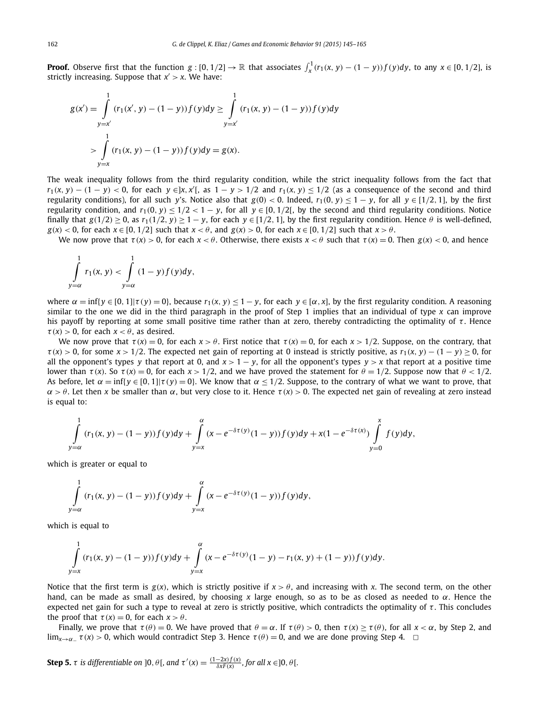**Proof.** Observe first that the function  $g:[0,1/2]\to\mathbb{R}$  that associates  $\int_x^1(r_1(x, y)-(1-y))f(y)dy$ , to any  $x\in[0,1/2]$ , is strictly increasing. Suppose that  $x' > x$ . We have:

$$
g(x') = \int_{y=x'}^{1} (r_1(x', y) - (1 - y)) f(y) dy \ge \int_{y=x'}^{1} (r_1(x, y) - (1 - y)) f(y) dy
$$
  
> 
$$
\int_{y=x}^{1} (r_1(x, y) - (1 - y)) f(y) dy = g(x).
$$

The weak inequality follows from the third regularity condition, while the strict inequality follows from the fact that  $r_1(x, y) - (1 - y) < 0$ , for each  $y \in ]x, x'$ , as  $1 - y > 1/2$  and  $r_1(x, y) \le 1/2$  (as a consequence of the second and third regularity conditions), for all such y's. Notice also that  $g(0) < 0$ . Indeed,  $r_1(0, y) \le 1 - y$ , for all  $y \in [1/2, 1]$ , by the first regularity condition, and  $r_1(0, y) \leq 1/2 < 1 - y$ , for all  $y \in [0, 1/2[$ , by the second and third regularity conditions. Notice finally that  $g(1/2) \ge 0$ , as  $r_1(1/2, y) \ge 1 - y$ , for each  $y \in [1/2, 1]$ , by the first regularity condition. Hence  $\theta$  is well-defined,  $g(x) < 0$ , for each  $x \in [0, 1/2]$  such that  $x < \theta$ , and  $g(x) > 0$ , for each  $x \in [0, 1/2]$  such that  $x > \theta$ .

We now prove that  $\tau(x) > 0$ , for each  $x < \theta$ . Otherwise, there exists  $x < \theta$  such that  $\tau(x) = 0$ . Then  $g(x) < 0$ , and hence

$$
\int\limits_{y=\alpha}^{1} r_1(x, y) < \int\limits_{y=\alpha}^{1} (1-y) f(y) dy,
$$

where  $\alpha = \inf\{y \in [0, 1] | \tau(y) = 0\}$ , because  $r_1(x, y) \le 1 - y$ , for each  $y \in [\alpha, x]$ , by the first regularity condition. A reasoning similar to the one we did in the third paragraph in the proof of Step 1 implies that an individual of type *x* can improve his payoff by reporting at some small positive time rather than at zero, thereby contradicting the optimality of τ. Hence  $\tau(x) > 0$ , for each  $x < \theta$ , as desired.

We now prove that  $τ(x) = 0$ , for each  $x > θ$ . First notice that  $τ(x) = 0$ , for each  $x > 1/2$ . Suppose, on the contrary, that  $\tau(x) > 0$ , for some  $x > 1/2$ . The expected net gain of reporting at 0 instead is strictly positive, as  $r_1(x, y) - (1 - y) > 0$ , for all the opponent's types *y* that report at 0, and  $x > 1 - y$ , for all the opponent's types  $y > x$  that report at a positive time lower than  $\tau(x)$ . So  $\tau(x) = 0$ , for each  $x > 1/2$ , and we have proved the statement for  $\theta = 1/2$ . Suppose now that  $\theta < 1/2$ . As before, let  $\alpha = \inf\{y \in [0, 1] | \tau(y) = 0\}$ . We know that  $\alpha \le 1/2$ . Suppose, to the contrary of what we want to prove, that *α* > *θ*. Let then *x* be smaller than *α*, but very close to it. Hence  $\tau(x)$  > 0. The expected net gain of revealing at zero instead is equal to:

$$
\int_{y=\alpha}^{1} (r_1(x, y) - (1-y)) f(y) dy + \int_{y=x}^{\alpha} (x - e^{-\delta \tau(y)} (1-y)) f(y) dy + x(1 - e^{-\delta \tau(x)}) \int_{y=0}^{x} f(y) dy,
$$

which is greater or equal to

$$
\int_{y=\alpha}^{1} (r_1(x, y) - (1-y)) f(y) dy + \int_{y=x}^{\alpha} (x - e^{-\delta \tau(y)} (1-y)) f(y) dy,
$$

which is equal to

$$
\int_{y=x}^{1} (r_1(x, y) - (1-y)) f(y) dy + \int_{y=x}^{\alpha} (x - e^{-\delta \tau(y)}(1-y) - r_1(x, y) + (1-y)) f(y) dy.
$$

Notice that the first term is  $g(x)$ , which is strictly positive if  $x > \theta$ , and increasing with x. The second term, on the other hand, can be made as small as desired, by choosing *x* large enough, so as to be as closed as needed to *α*. Hence the expected net gain for such a type to reveal at zero is strictly positive, which contradicts the optimality of τ. This concludes the proof that  $\tau(x) = 0$ , for each  $x > \theta$ .

Finally, we prove that  $\tau(\theta) = 0$ . We have proved that  $\theta = \alpha$ . If  $\tau(\theta) > 0$ , then  $\tau(x) > \tau(\theta)$ , for all  $x < \alpha$ , by Step 2, and  $\lim_{x\to\alpha} \tau(x) > 0$ , which would contradict Step 3. Hence  $\tau(\theta) = 0$ , and we are done proving Step 4.  $\Box$ 

**Step 5.**  $\tau$  is differentiable on ]0,  $\theta$ [, and  $\tau'(x) = \frac{(1-2x)f(x)}{\delta x F(x)}$ , for all  $x \in ]0, \theta[$ .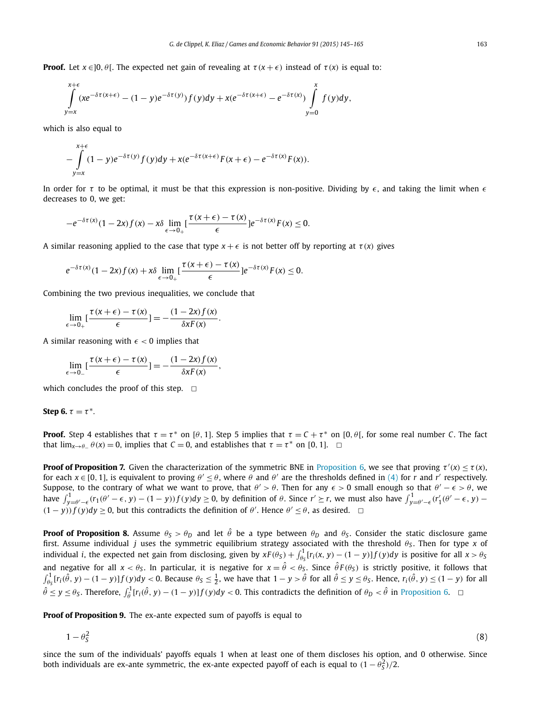<span id="page-18-0"></span>**Proof.** Let  $x \in ]0, \theta[$ . The expected net gain of revealing at  $\tau(x + \epsilon)$  instead of  $\tau(x)$  is equal to:

$$
\int\limits_{y=x}^{x+\epsilon} (xe^{-\delta \tau (x+\epsilon)} - (1-y)e^{-\delta \tau (y)}) f(y) dy + x(e^{-\delta \tau (x+\epsilon)} - e^{-\delta \tau (x)}) \int\limits_{y=0}^{x} f(y) dy,
$$

which is also equal to

$$
-\int\limits_{y=x}^{x+\epsilon}(1-y)e^{-\delta\tau(y)}f(y)dy+x(e^{-\delta\tau(x+\epsilon)}F(x+\epsilon)-e^{-\delta\tau(x)}F(x)).
$$

In order for *τ* to be optimal, it must be that this expression is non-positive. Dividing by  $\epsilon$ , and taking the limit when  $\epsilon$ decreases to 0, we get:

$$
-e^{-\delta\tau(x)}(1-2x)f(x)-x\delta\lim_{\epsilon\to 0+}\left[\frac{\tau(x+\epsilon)-\tau(x)}{\epsilon}\right]e^{-\delta\tau(x)}F(x)\leq 0.
$$

A similar reasoning applied to the case that type  $x + \epsilon$  is not better off by reporting at  $\tau(x)$  gives

$$
e^{-\delta \tau(x)}(1-2x)f(x)+x\delta \lim_{\epsilon \to 0+} \left[\frac{\tau(x+\epsilon)-\tau(x)}{\epsilon}\right]e^{-\delta \tau(x)}F(x) \leq 0.
$$

Combining the two previous inequalities, we conclude that

$$
\lim_{\epsilon \to 0_+} \left[ \frac{\tau(x + \epsilon) - \tau(x)}{\epsilon} \right] = -\frac{(1 - 2x)f(x)}{\delta xF(x)}.
$$

A similar reasoning with  $\epsilon < 0$  implies that

$$
\lim_{\epsilon \to 0_-} \left[ \frac{\tau(x + \epsilon) - \tau(x)}{\epsilon} \right] = -\frac{(1 - 2x)f(x)}{\delta x F(x)},
$$

which concludes the proof of this step.  $\Box$ 

# **Step 6.**  $\tau = \tau^*$ .

**Proof.** Step 4 establishes that  $\tau = \tau^*$  on [*θ*, 1]. Step 5 implies that  $\tau = C + \tau^*$  on [0, *θ*], for some real number *C*. The fact that  $\lim_{x\to\theta_-} \theta(x) = 0$ , implies that  $C = 0$ , and establishes that  $\tau = \tau^*$  on [0, 1].  $\Box$ 

**Proof of Proposition 7.** Given the characterization of the symmetric BNE in [Proposition 6,](#page-6-0) we see that proving  $\tau'(x) \le \tau(x)$ , for each  $x \in [0, 1]$ , is equivalent to proving  $\theta' \leq \theta$ , where  $\theta$  and  $\theta'$  are the thresholds defined in [\(4\)](#page-6-0) for *r* and *r'* respectively. Suppose, to the contrary of what we want to prove, that  $\theta' > \theta$ . Then for any  $\epsilon > 0$  small enough so that  $\theta' - \epsilon > \theta$ , we have  $\int_{y=\theta'-\epsilon}^{1}(r_1(\theta'-\epsilon,y)-(1-y))f(y)dy\geq0$ , by definition of  $\theta$ . Since  $r'\geq r$ , we must also have  $\int_{y=\theta'-\epsilon}^{1}(r_1'(\theta'-\epsilon,y)-t)dy$  $(1 - y)$  $f(y)dy \ge 0$ , but this contradicts the definition of  $\theta'$ . Hence  $\theta' \le \theta$ , as desired.  $\Box$ 

**Proof of Proposition 8.** Assume  $\theta_s > \theta_D$  and let  $\hat{\theta}$  be a type between  $\theta_D$  and  $\theta_S$ . Consider the static disclosure game first. Assume individual *j* uses the symmetric equilibrium strategy associated with the threshold θ<sub>S</sub>. Then for type *x* of individual *i*, the expected net gain from disclosing, given by  $xF(\theta_S) + \int_{\theta_S}^1 [r_i(x, y) - (1 - y)] f(y) dy$  is positive for all  $x > \theta_S$ and negative for all  $x < \theta_s$ . In particular, it is negative for  $x = \hat{\theta} < \theta_s$ . Since  $\hat{\theta}F(\theta_s)$  is strictly positive, it follows that  $\int_{\theta_{\mathcal{S}}}^{1}[r_{i}(\hat{\theta},y)-(1-y)]f(y)dy < 0$ . Because  $\theta_{\mathcal{S}} \leq \frac{1}{2}$ , we have that  $1-y > \hat{\theta}$  for all  $\hat{\theta} \leq y \leq \theta_{\mathcal{S}}$ . Hence,  $r_{i}(\hat{\theta},y) \leq (1-y)$  for all  $\hat{\theta} \le y \le \theta_S$ . Therefore,  $\int_{\hat{\theta}}^1 [r_i(\hat{\theta}, y) - (1 - y)] f(y) dy < 0$ . This contradicts the definition of  $\theta_D < \hat{\theta}$  in [Proposition 6.](#page-6-0)

**Proof of Proposition 9.** The ex-ante expected sum of payoffs is equal to

$$
1 - \theta_{\rm S}^2 \tag{8}
$$

since the sum of the individuals' payoffs equals 1 when at least one of them discloses his option, and 0 otherwise. Since both individuals are ex-ante symmetric, the ex-ante expected payoff of each is equal to  $(1 - \theta_{\mathcal{S}}^2)/2$ .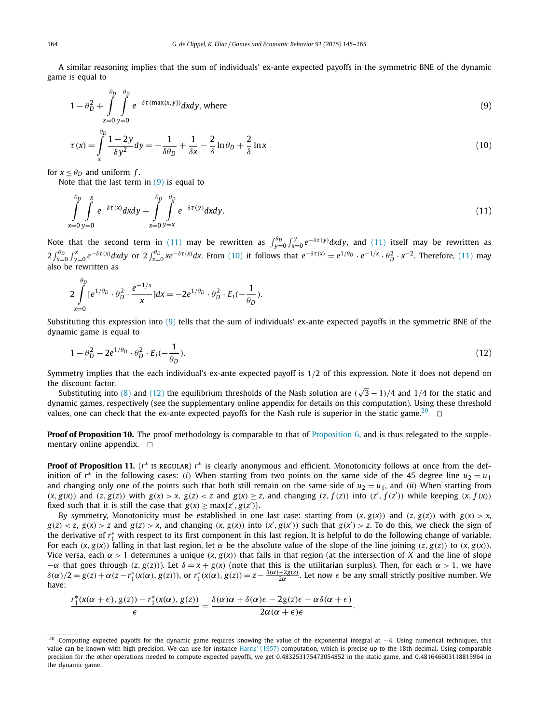A similar reasoning implies that the sum of individuals' ex-ante expected payoffs in the symmetric BNE of the dynamic game is equal to

$$
1 - \theta_D^2 + \int_{x=0}^{\theta_D} \int_{y=0}^{\theta_D} e^{-\delta \tau (\max\{x, y\})} dxdy, \text{ where}
$$
\n
$$
\tau(x) = \int_{-\infty}^{\theta_D} \frac{1 - 2y}{\delta y^2} dy = -\frac{1}{\delta \theta_D} + \frac{1}{\delta x} - \frac{2}{\delta} \ln \theta_D + \frac{2}{\delta} \ln x
$$
\n(10)

*x* for  $x \leq \theta_D$  and uniform  $f$ .

Note that the last term in  $(9)$  is equal to

$$
\int_{x=0}^{\theta_D} \int_{y=0}^x e^{-\delta \tau(x)} dxdy + \int_{x=0}^{\theta_D} \int_{y=x}^{\theta_D} e^{-\delta \tau(y)} dxdy.
$$
\n(11)

Note that the second term in (11) may be rewritten as  $\int_{y=0}^{\theta_D} \int_{x=0}^y e^{-\delta \tau(y)} dx dy$ , and (11) itself may be rewritten as  $2\int_{x=0}^{\theta_D}\int_{y=0}^x e^{-\delta\tau(x)}dxdy$  or  $2\int_{x=0}^{\theta_D}xe^{-\delta\tau(x)}dx$ . From (10) it follows that  $e^{-\delta\tau(x)}=e^{1/\theta_D}\cdot e^{-1/x}\cdot\theta_D^2\cdot x^{-2}$ . Therefore, (11) may also be rewritten as

$$
2\int\limits_{x=0}^{\theta_D} [e^{1/\theta_D} \cdot \theta_D^2 \cdot \frac{e^{-1/x}}{x}] dx = -2e^{1/\theta_D} \cdot \theta_D^2 \cdot E_i(-\frac{1}{\theta_D}).
$$

Substituting this expression into (9) tells that the sum of individuals' ex-ante expected payoffs in the symmetric BNE of the dynamic game is equal to

$$
1 - \theta_D^2 - 2e^{1/\theta_D} \cdot \theta_D^2 \cdot E_i(-\frac{1}{\theta_D}).
$$
\n
$$
(12)
$$

Symmetry implies that the each individual's ex-ante expected payoff is 1*/*2 of this expression. Note it does not depend on the discount factor.

Substituting into [\(8\)](#page-18-0) and (12) the equilibrium thresholds of the Nash solution are *(* <sup>√</sup><sup>3</sup> <sup>−</sup> <sup>1</sup>*)/*4 and <sup>1</sup>*/*4 for the static and dynamic games, respectively (see the supplementary online appendix for details on this computation). Using these threshold values, one can check that the ex-ante expected payoffs for the Nash rule is superior in the static game.<sup>20</sup>  $\Box$ 

**Proof of Proposition 10.** The proof methodology is comparable to that of [Proposition 6,](#page-6-0) and is thus relegated to the supplementary online appendix.  $\Box$ 

**Proof of Proposition 11.** (*r*<sup>∗</sup> is regular) *r*<sup>∗</sup> is clearly anonymous and efficient. Monotonicity follows at once from the definition of  $r^*$  in the following cases: *(i)* When starting from two points on the same side of the 45 degree line  $u_2 = u_1$ and changing only one of the points such that both still remain on the same side of  $u_2 = u_1$ , and *(ii)* When starting from  $(x, g(x))$  and  $(z, g(z))$  with  $g(x) > x$ ,  $g(z) < z$  and  $g(x) \ge z$ , and changing  $(z, f(z))$  into  $(z', f(z'))$  while keeping  $(x, f(x))$ fixed such that it is still the case that  $g(x) \ge \max\{z', g(z')\}.$ 

By symmetry, Monotonicity must be established in one last case: starting from  $(x, g(x))$  and  $(z, g(z))$  with  $g(x) > x$ ,  $g(z) < z$ ,  $g(x) > z$  and  $g(z) > x$ , and changing  $(x, g(x))$  into  $(x', g(x'))$  such that  $g(x') > z$ . To do this, we check the sign of the derivative of  $r_1^*$  with respect to its first component in this last region. It is helpful to do the following change of variable. For each  $(x, g(x))$  falling in that last region, let  $\alpha$  be the absolute value of the slope of the line joining  $(z, g(z))$  to  $(x, g(x))$ . Vice versa, each *α >* 1 determines a unique *(x, g(x))* that falls in that region (at the intersection of *X* and the line of slope  $-\alpha$  that goes through (z, g(z))). Let  $\delta = x + g(x)$  (note that this is the utilitarian surplus). Then, for each  $\alpha > 1$ , we have  $\delta(\alpha)/2 = g(z) + \alpha(z - r_1^*(x(\alpha), g(z))),$  or  $r_1^*(x(\alpha), g(z)) = z - \frac{\delta(\alpha) - 2g(z)}{2\alpha}$ . Let now  $\epsilon$  be any small strictly positive number. We have:

$$
\frac{r_1^*(x(\alpha+\epsilon), g(z)) - r_1^*(x(\alpha), g(z))}{\epsilon} = \frac{\delta(\alpha)\alpha + \delta(\alpha)\epsilon - 2g(z)\epsilon - \alpha\delta(\alpha+\epsilon)}{2\alpha(\alpha+\epsilon)\epsilon}.
$$

<sup>20</sup> Computing expected payoffs for the dynamic game requires knowing the value of the exponential integral at −4. Using numerical techniques, this value can be known with high precision. We can use for instance [Harris'](#page-20-0) (1957) computation, which is precise up to the 18th decimal. Using comparable precision for the other operations needed to compute expected payoffs, we get 0*.*483253175473054852 in the static game, and 0*.*481646603118815964 in the dynamic game.